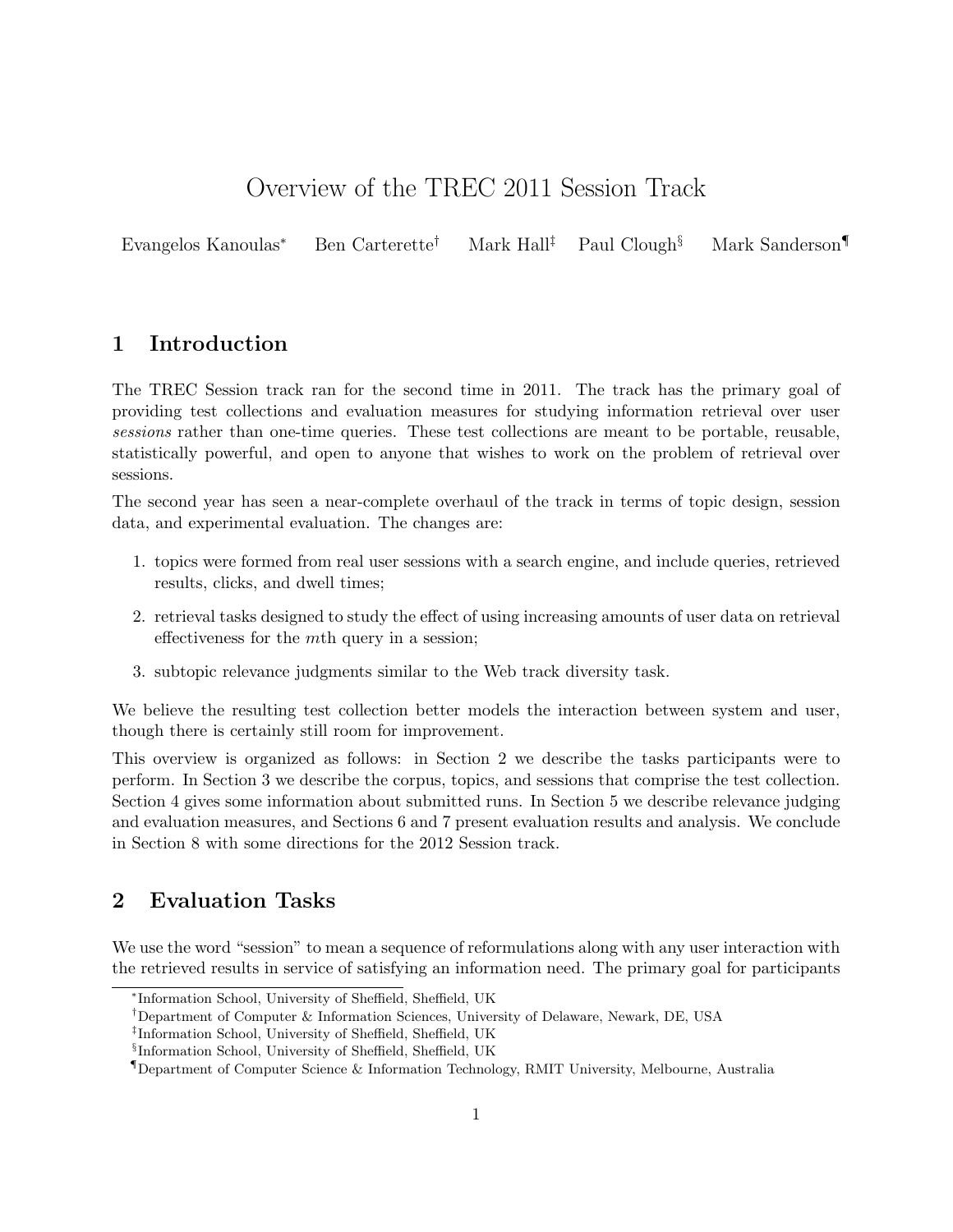# Overview of the TREC 2011 Session Track

Evangelos Kanoulas<sup>∗</sup> Ben Carterette† Mark Hall‡ Paul Clough§ Mark Sanderson¶

# 1 Introduction

The TREC Session track ran for the second time in 2011. The track has the primary goal of providing test collections and evaluation measures for studying information retrieval over user sessions rather than one-time queries. These test collections are meant to be portable, reusable, statistically powerful, and open to anyone that wishes to work on the problem of retrieval over sessions.

The second year has seen a near-complete overhaul of the track in terms of topic design, session data, and experimental evaluation. The changes are:

- 1. topics were formed from real user sessions with a search engine, and include queries, retrieved results, clicks, and dwell times;
- 2. retrieval tasks designed to study the effect of using increasing amounts of user data on retrieval effectiveness for the mth query in a session;
- 3. subtopic relevance judgments similar to the Web track diversity task.

We believe the resulting test collection better models the interaction between system and user, though there is certainly still room for improvement.

This overview is organized as follows: in Section 2 we describe the tasks participants were to perform. In Section 3 we describe the corpus, topics, and sessions that comprise the test collection. Section 4 gives some information about submitted runs. In Section 5 we describe relevance judging and evaluation measures, and Sections 6 and 7 present evaluation results and analysis. We conclude in Section 8 with some directions for the 2012 Session track.

# 2 Evaluation Tasks

We use the word "session" to mean a sequence of reformulations along with any user interaction with the retrieved results in service of satisfying an information need. The primary goal for participants

<sup>∗</sup> Information School, University of Sheffield, Sheffield, UK

<sup>†</sup>Department of Computer & Information Sciences, University of Delaware, Newark, DE, USA

<sup>‡</sup> Information School, University of Sheffield, Sheffield, UK

<sup>§</sup> Information School, University of Sheffield, Sheffield, UK

<sup>¶</sup>Department of Computer Science & Information Technology, RMIT University, Melbourne, Australia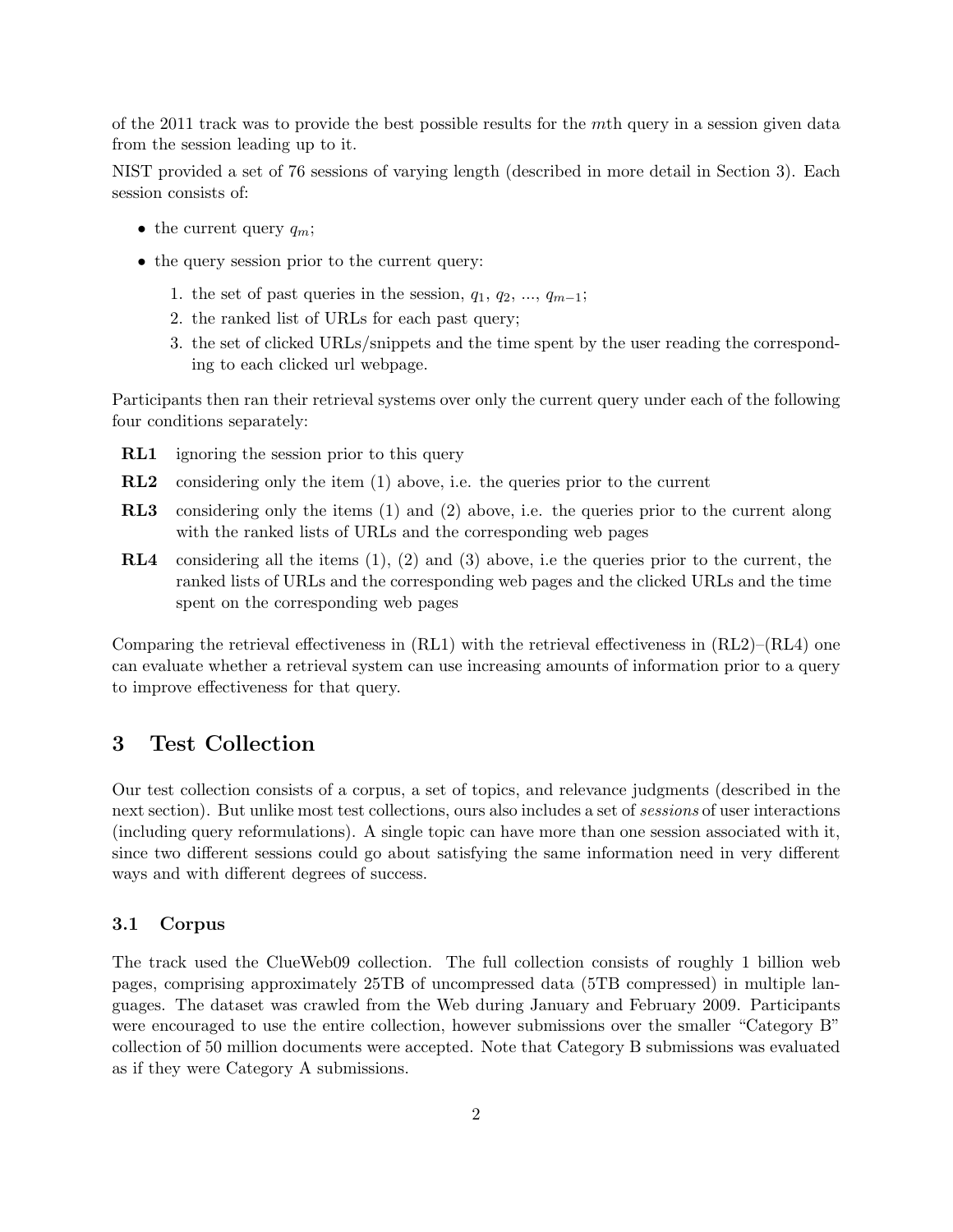of the 2011 track was to provide the best possible results for the mth query in a session given data from the session leading up to it.

NIST provided a set of 76 sessions of varying length (described in more detail in Section 3). Each session consists of:

- the current query  $q_m$ ;
- the query session prior to the current query:
	- 1. the set of past queries in the session,  $q_1, q_2, ..., q_{m-1}$ ;
	- 2. the ranked list of URLs for each past query;
	- 3. the set of clicked URLs/snippets and the time spent by the user reading the corresponding to each clicked url webpage.

Participants then ran their retrieval systems over only the current query under each of the following four conditions separately:

- **RL1** ignoring the session prior to this query
- RL2 considering only the item (1) above, i.e. the queries prior to the current
- RL3 considering only the items (1) and (2) above, i.e. the queries prior to the current along with the ranked lists of URLs and the corresponding web pages
- RL4 considering all the items (1), (2) and (3) above, i.e the queries prior to the current, the ranked lists of URLs and the corresponding web pages and the clicked URLs and the time spent on the corresponding web pages

Comparing the retrieval effectiveness in  $(RL1)$  with the retrieval effectiveness in  $(RL2)$ – $(RL4)$  one can evaluate whether a retrieval system can use increasing amounts of information prior to a query to improve effectiveness for that query.

# 3 Test Collection

Our test collection consists of a corpus, a set of topics, and relevance judgments (described in the next section). But unlike most test collections, ours also includes a set of sessions of user interactions (including query reformulations). A single topic can have more than one session associated with it, since two different sessions could go about satisfying the same information need in very different ways and with different degrees of success.

#### 3.1 Corpus

The track used the ClueWeb09 collection. The full collection consists of roughly 1 billion web pages, comprising approximately 25TB of uncompressed data (5TB compressed) in multiple languages. The dataset was crawled from the Web during January and February 2009. Participants were encouraged to use the entire collection, however submissions over the smaller "Category B" collection of 50 million documents were accepted. Note that Category B submissions was evaluated as if they were Category A submissions.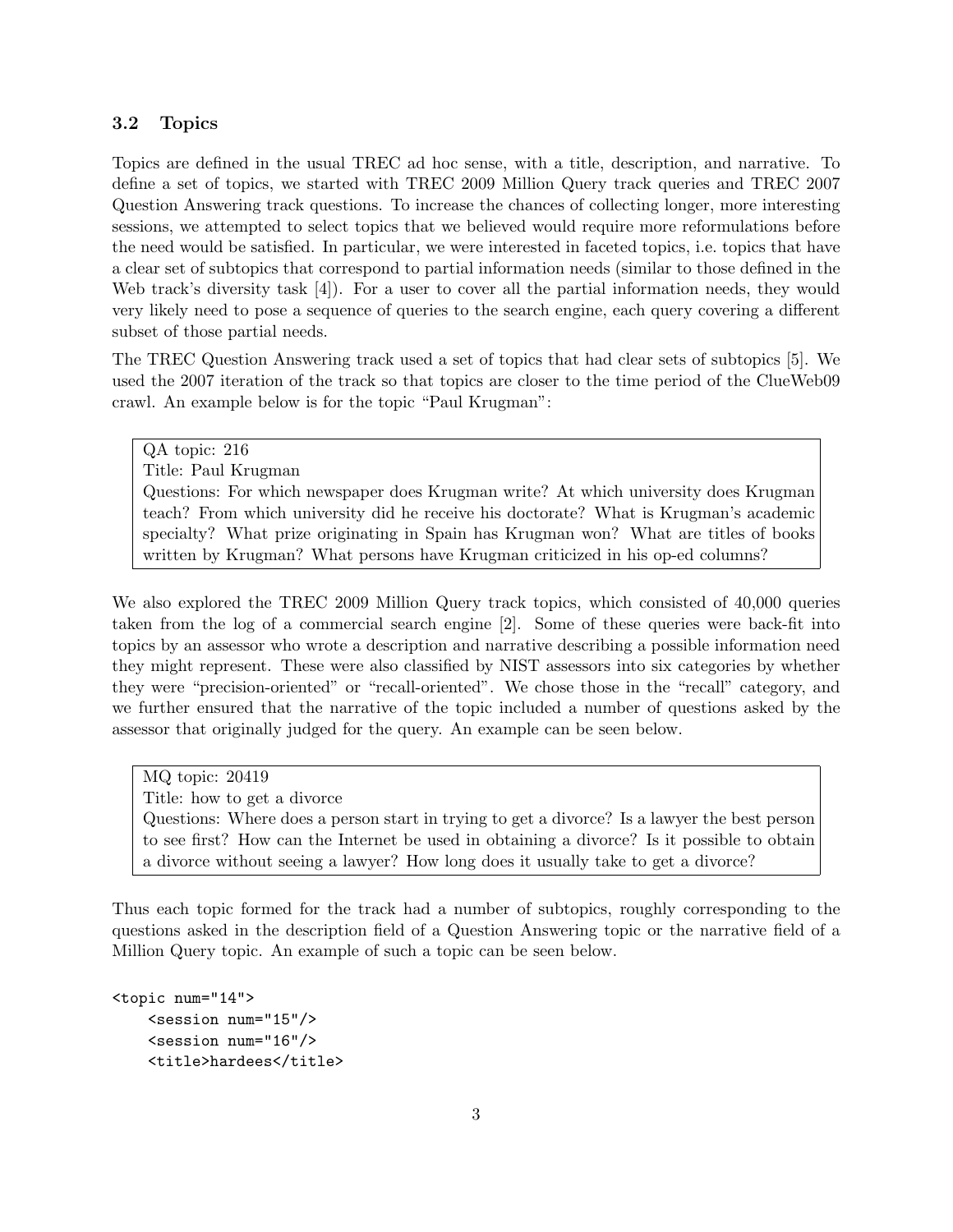#### 3.2 Topics

Topics are defined in the usual TREC ad hoc sense, with a title, description, and narrative. To define a set of topics, we started with TREC 2009 Million Query track queries and TREC 2007 Question Answering track questions. To increase the chances of collecting longer, more interesting sessions, we attempted to select topics that we believed would require more reformulations before the need would be satisfied. In particular, we were interested in faceted topics, i.e. topics that have a clear set of subtopics that correspond to partial information needs (similar to those defined in the Web track's diversity task [4]). For a user to cover all the partial information needs, they would very likely need to pose a sequence of queries to the search engine, each query covering a different subset of those partial needs.

The TREC Question Answering track used a set of topics that had clear sets of subtopics [5]. We used the 2007 iteration of the track so that topics are closer to the time period of the ClueWeb09 crawl. An example below is for the topic "Paul Krugman":

QA topic: 216 Title: Paul Krugman Questions: For which newspaper does Krugman write? At which university does Krugman teach? From which university did he receive his doctorate? What is Krugman's academic specialty? What prize originating in Spain has Krugman won? What are titles of books written by Krugman? What persons have Krugman criticized in his op-ed columns?

We also explored the TREC 2009 Million Query track topics, which consisted of 40,000 queries taken from the log of a commercial search engine [2]. Some of these queries were back-fit into topics by an assessor who wrote a description and narrative describing a possible information need they might represent. These were also classified by NIST assessors into six categories by whether they were "precision-oriented" or "recall-oriented". We chose those in the "recall" category, and we further ensured that the narrative of the topic included a number of questions asked by the assessor that originally judged for the query. An example can be seen below.

MQ topic: 20419 Title: how to get a divorce Questions: Where does a person start in trying to get a divorce? Is a lawyer the best person to see first? How can the Internet be used in obtaining a divorce? Is it possible to obtain a divorce without seeing a lawyer? How long does it usually take to get a divorce?

Thus each topic formed for the track had a number of subtopics, roughly corresponding to the questions asked in the description field of a Question Answering topic or the narrative field of a Million Query topic. An example of such a topic can be seen below.

```
<topic num="14">
    <session num="15"/>
    <session num="16"/>
    <title>hardees</title>
```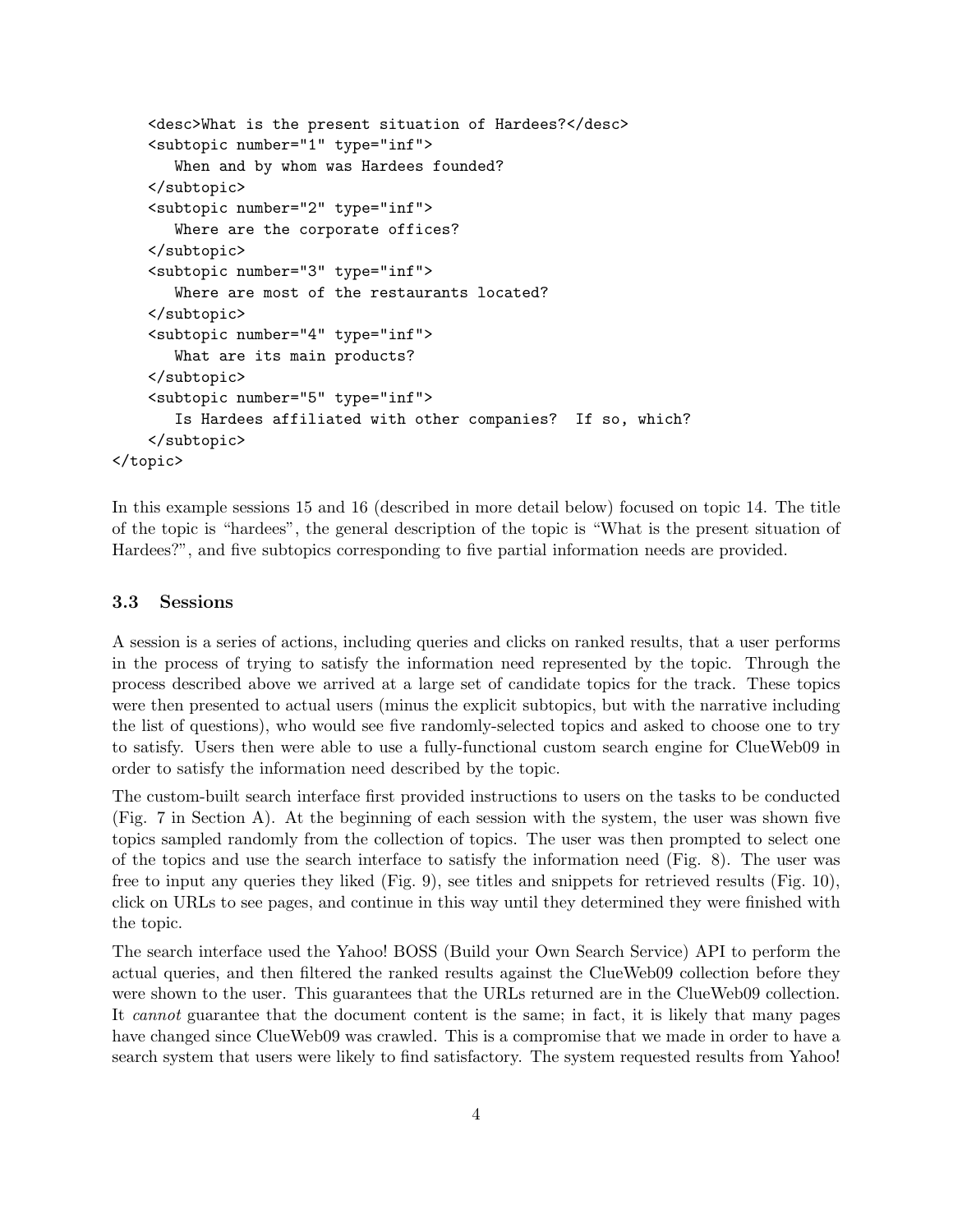```
<desc>What is the present situation of Hardees?</desc>
    <subtopic number="1" type="inf">
       When and by whom was Hardees founded?
    </subtopic>
    <subtopic number="2" type="inf">
       Where are the corporate offices?
    </subtopic>
    <subtopic number="3" type="inf">
       Where are most of the restaurants located?
    </subtopic>
    <subtopic number="4" type="inf">
       What are its main products?
    </subtopic>
    <subtopic number="5" type="inf">
       Is Hardees affiliated with other companies? If so, which?
    </subtopic>
</topic>
```
In this example sessions 15 and 16 (described in more detail below) focused on topic 14. The title of the topic is "hardees", the general description of the topic is "What is the present situation of Hardees?", and five subtopics corresponding to five partial information needs are provided.

#### 3.3 Sessions

A session is a series of actions, including queries and clicks on ranked results, that a user performs in the process of trying to satisfy the information need represented by the topic. Through the process described above we arrived at a large set of candidate topics for the track. These topics were then presented to actual users (minus the explicit subtopics, but with the narrative including the list of questions), who would see five randomly-selected topics and asked to choose one to try to satisfy. Users then were able to use a fully-functional custom search engine for ClueWeb09 in order to satisfy the information need described by the topic.

The custom-built search interface first provided instructions to users on the tasks to be conducted (Fig. 7 in Section A). At the beginning of each session with the system, the user was shown five topics sampled randomly from the collection of topics. The user was then prompted to select one of the topics and use the search interface to satisfy the information need (Fig. 8). The user was free to input any queries they liked (Fig. 9), see titles and snippets for retrieved results (Fig. 10), click on URLs to see pages, and continue in this way until they determined they were finished with the topic.

The search interface used the Yahoo! BOSS (Build your Own Search Service) API to perform the actual queries, and then filtered the ranked results against the ClueWeb09 collection before they were shown to the user. This guarantees that the URLs returned are in the ClueWeb09 collection. It cannot guarantee that the document content is the same; in fact, it is likely that many pages have changed since ClueWeb09 was crawled. This is a compromise that we made in order to have a search system that users were likely to find satisfactory. The system requested results from Yahoo!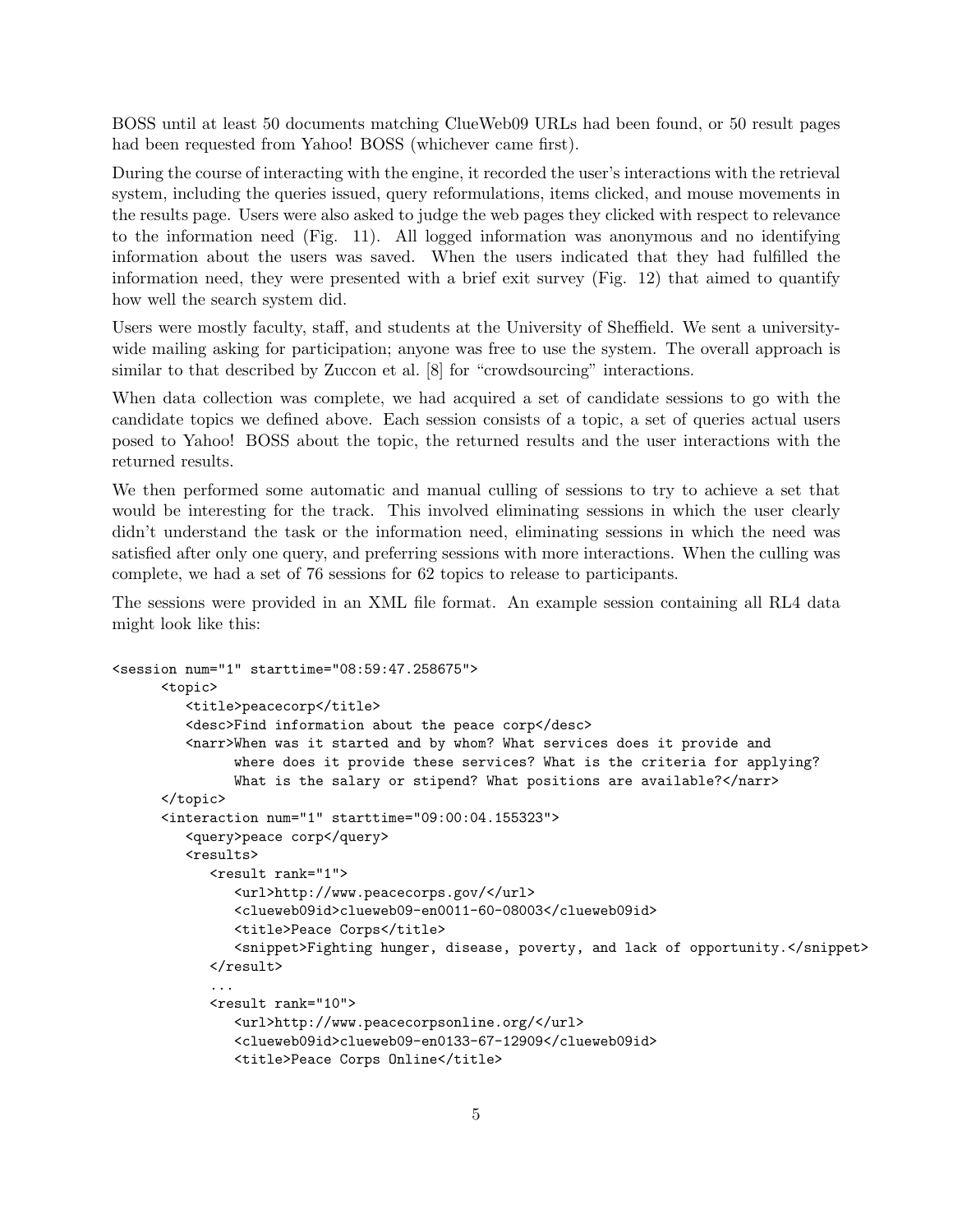BOSS until at least 50 documents matching ClueWeb09 URLs had been found, or 50 result pages had been requested from Yahoo! BOSS (whichever came first).

During the course of interacting with the engine, it recorded the user's interactions with the retrieval system, including the queries issued, query reformulations, items clicked, and mouse movements in the results page. Users were also asked to judge the web pages they clicked with respect to relevance to the information need (Fig. 11). All logged information was anonymous and no identifying information about the users was saved. When the users indicated that they had fulfilled the information need, they were presented with a brief exit survey (Fig. 12) that aimed to quantify how well the search system did.

Users were mostly faculty, staff, and students at the University of Sheffield. We sent a universitywide mailing asking for participation; anyone was free to use the system. The overall approach is similar to that described by Zuccon et al. [8] for "crowdsourcing" interactions.

When data collection was complete, we had acquired a set of candidate sessions to go with the candidate topics we defined above. Each session consists of a topic, a set of queries actual users posed to Yahoo! BOSS about the topic, the returned results and the user interactions with the returned results.

We then performed some automatic and manual culling of sessions to try to achieve a set that would be interesting for the track. This involved eliminating sessions in which the user clearly didn't understand the task or the information need, eliminating sessions in which the need was satisfied after only one query, and preferring sessions with more interactions. When the culling was complete, we had a set of 76 sessions for 62 topics to release to participants.

The sessions were provided in an XML file format. An example session containing all RL4 data might look like this:

```
<session num="1" starttime="08:59:47.258675">
      <topic>
         <title>peacecorp</title>
         <desc>Find information about the peace corp</desc>
         <narr>When was it started and by whom? What services does it provide and
               where does it provide these services? What is the criteria for applying?
               What is the salary or stipend? What positions are available?</narr>
      </topic>
      <interaction num="1" starttime="09:00:04.155323">
         <query>peace corp</query>
         <results>
            <result rank="1">
               <url>http://www.peacecorps.gov/</url>
               <clueweb09id>clueweb09-en0011-60-08003</clueweb09id>
               <title>Peace Corps</title>
               <snippet>Fighting hunger, disease, poverty, and lack of opportunity.</snippet>
            \langleresult>
            ...
            <result rank="10">
               <url>http://www.peacecorpsonline.org/</url>
               <clueweb09id>clueweb09-en0133-67-12909</clueweb09id>
               <title>Peace Corps Online</title>
```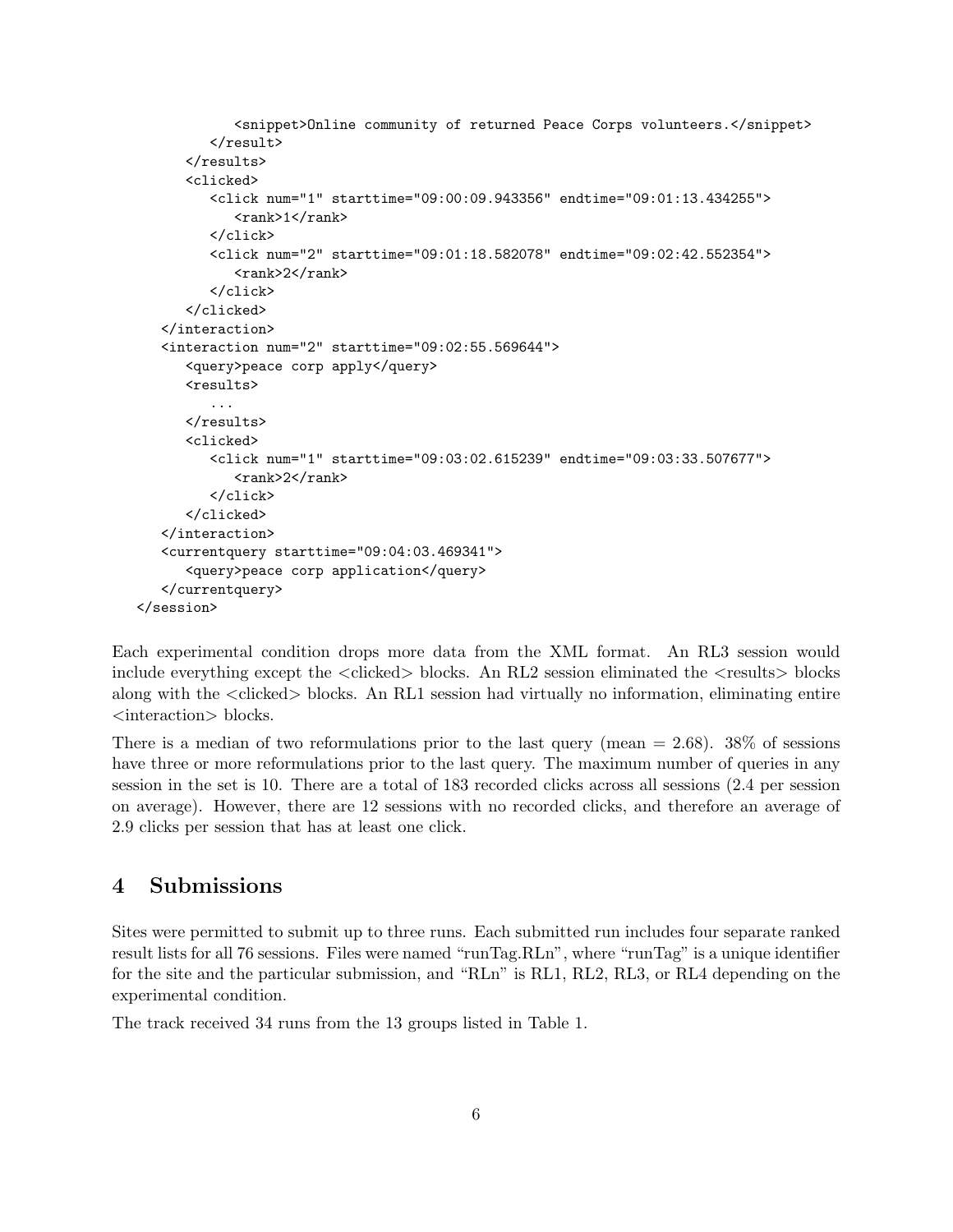```
<snippet>Online community of returned Peace Corps volunteers.</snippet>
         \langleresult>
      \langle/results>
      <clicked>
         <click num="1" starttime="09:00:09.943356" endtime="09:01:13.434255">
             <math>rank>1</math> <math>rank>1</math>\langleclick>
         <click num="2" starttime="09:01:18.582078" endtime="09:02:42.552354">
             <math>\frac{2}{\sqrt{2}}</click>
      </clicked>
   </interaction>
   <interaction num="2" starttime="09:02:55.569644">
      <query>peace corp apply</query>
      <results>
         ...
      \langleresults>
      <clicked>
         <click num="1" starttime="09:03:02.615239" endtime="09:03:33.507677">
             <rank>2</rank>
         </click>
      </clicked>
   </interaction>
   <currentquery starttime="09:04:03.469341">
      <query>peace corp application</query>
   </currentquery>
</session>
```
Each experimental condition drops more data from the XML format. An RL3 session would include everything except the  $\langle$ clicked $\rangle$  blocks. An RL2 session eliminated the  $\langle$ results $\rangle$  blocks along with the <clicked> blocks. An RL1 session had virtually no information, eliminating entire <interaction> blocks.

There is a median of two reformulations prior to the last query (mean  $= 2.68$ ). 38% of sessions have three or more reformulations prior to the last query. The maximum number of queries in any session in the set is 10. There are a total of 183 recorded clicks across all sessions (2.4 per session on average). However, there are 12 sessions with no recorded clicks, and therefore an average of 2.9 clicks per session that has at least one click.

# 4 Submissions

Sites were permitted to submit up to three runs. Each submitted run includes four separate ranked result lists for all 76 sessions. Files were named "runTag.RLn", where "runTag" is a unique identifier for the site and the particular submission, and "RLn" is RL1, RL2, RL3, or RL4 depending on the experimental condition.

The track received 34 runs from the 13 groups listed in Table 1.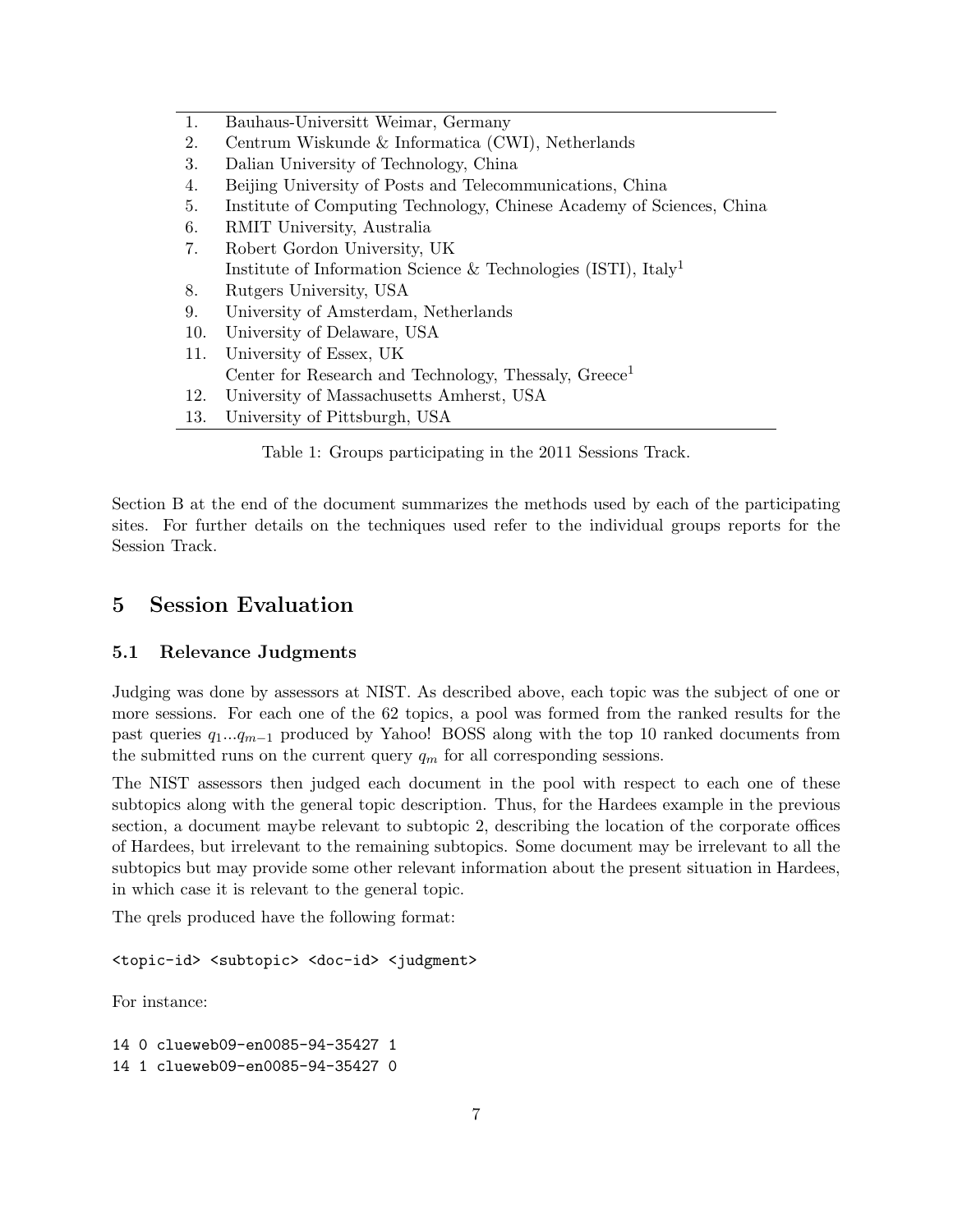| 1.  | Bauhaus-Universitt Weimar, Germany                                         |
|-----|----------------------------------------------------------------------------|
| 2.  | Centrum Wiskunde & Informatica (CWI), Netherlands                          |
| 3.  | Dalian University of Technology, China                                     |
| 4.  | Beijing University of Posts and Telecommunications, China                  |
| 5.  | Institute of Computing Technology, Chinese Academy of Sciences, China      |
| 6.  | RMIT University, Australia                                                 |
| 7.  | Robert Gordon University, UK                                               |
|     | Institute of Information Science & Technologies (ISTI), Italy <sup>1</sup> |
| 8.  | Rutgers University, USA                                                    |
| 9.  | University of Amsterdam, Netherlands                                       |
| 10. | University of Delaware, USA                                                |
| 11. | University of Essex, UK                                                    |
|     | Center for Research and Technology, Thessaly, $G$ reece <sup>1</sup>       |
| 12. | University of Massachusetts Amherst, USA                                   |
| 13. | University of Pittsburgh, USA                                              |

Table 1: Groups participating in the 2011 Sessions Track.

Section B at the end of the document summarizes the methods used by each of the participating sites. For further details on the techniques used refer to the individual groups reports for the Session Track.

# 5 Session Evaluation

#### 5.1 Relevance Judgments

Judging was done by assessors at NIST. As described above, each topic was the subject of one or more sessions. For each one of the 62 topics, a pool was formed from the ranked results for the past queries  $q_1...q_{m-1}$  produced by Yahoo! BOSS along with the top 10 ranked documents from the submitted runs on the current query  $q_m$  for all corresponding sessions.

The NIST assessors then judged each document in the pool with respect to each one of these subtopics along with the general topic description. Thus, for the Hardees example in the previous section, a document maybe relevant to subtopic 2, describing the location of the corporate offices of Hardees, but irrelevant to the remaining subtopics. Some document may be irrelevant to all the subtopics but may provide some other relevant information about the present situation in Hardees, in which case it is relevant to the general topic.

The qrels produced have the following format:

<topic-id> <subtopic> <doc-id> <judgment>

For instance:

14 0 clueweb09-en0085-94-35427 1 14 1 clueweb09-en0085-94-35427 0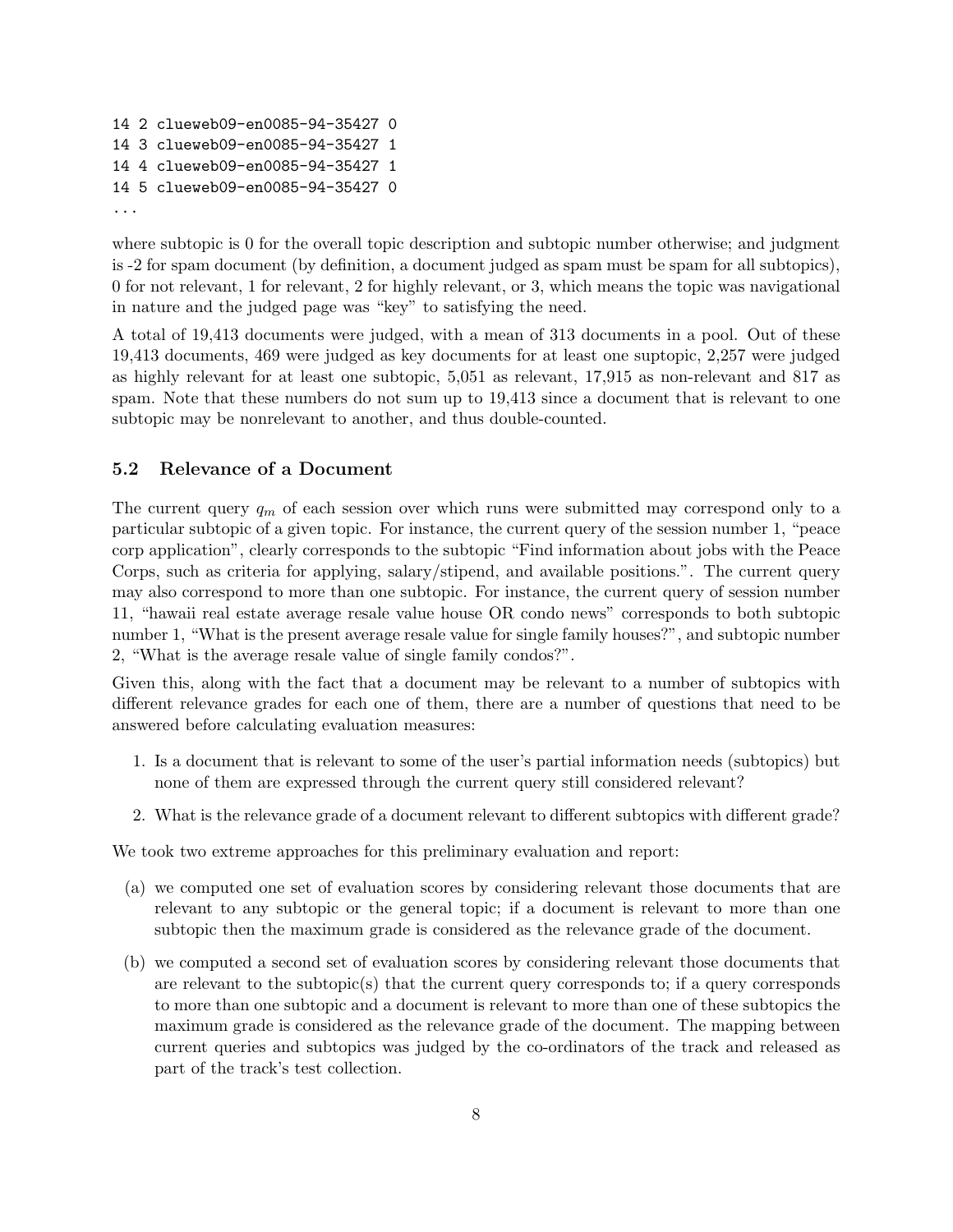```
14 2 clueweb09-en0085-94-35427 0
14 3 clueweb09-en0085-94-35427 1
14 4 clueweb09-en0085-94-35427 1
14 5 clueweb09-en0085-94-35427 0
...
```
where subtopic is 0 for the overall topic description and subtopic number otherwise; and judgment is -2 for spam document (by definition, a document judged as spam must be spam for all subtopics), 0 for not relevant, 1 for relevant, 2 for highly relevant, or 3, which means the topic was navigational in nature and the judged page was "key" to satisfying the need.

A total of 19,413 documents were judged, with a mean of 313 documents in a pool. Out of these 19,413 documents, 469 were judged as key documents for at least one suptopic, 2,257 were judged as highly relevant for at least one subtopic, 5,051 as relevant, 17,915 as non-relevant and 817 as spam. Note that these numbers do not sum up to 19,413 since a document that is relevant to one subtopic may be nonrelevant to another, and thus double-counted.

#### 5.2 Relevance of a Document

The current query  $q_m$  of each session over which runs were submitted may correspond only to a particular subtopic of a given topic. For instance, the current query of the session number 1, "peace corp application", clearly corresponds to the subtopic "Find information about jobs with the Peace Corps, such as criteria for applying, salary/stipend, and available positions.". The current query may also correspond to more than one subtopic. For instance, the current query of session number 11, "hawaii real estate average resale value house OR condo news" corresponds to both subtopic number 1, "What is the present average resale value for single family houses?", and subtopic number 2, "What is the average resale value of single family condos?".

Given this, along with the fact that a document may be relevant to a number of subtopics with different relevance grades for each one of them, there are a number of questions that need to be answered before calculating evaluation measures:

- 1. Is a document that is relevant to some of the user's partial information needs (subtopics) but none of them are expressed through the current query still considered relevant?
- 2. What is the relevance grade of a document relevant to different subtopics with different grade?

We took two extreme approaches for this preliminary evaluation and report:

- (a) we computed one set of evaluation scores by considering relevant those documents that are relevant to any subtopic or the general topic; if a document is relevant to more than one subtopic then the maximum grade is considered as the relevance grade of the document.
- (b) we computed a second set of evaluation scores by considering relevant those documents that are relevant to the subtopic(s) that the current query corresponds to; if a query corresponds to more than one subtopic and a document is relevant to more than one of these subtopics the maximum grade is considered as the relevance grade of the document. The mapping between current queries and subtopics was judged by the co-ordinators of the track and released as part of the track's test collection.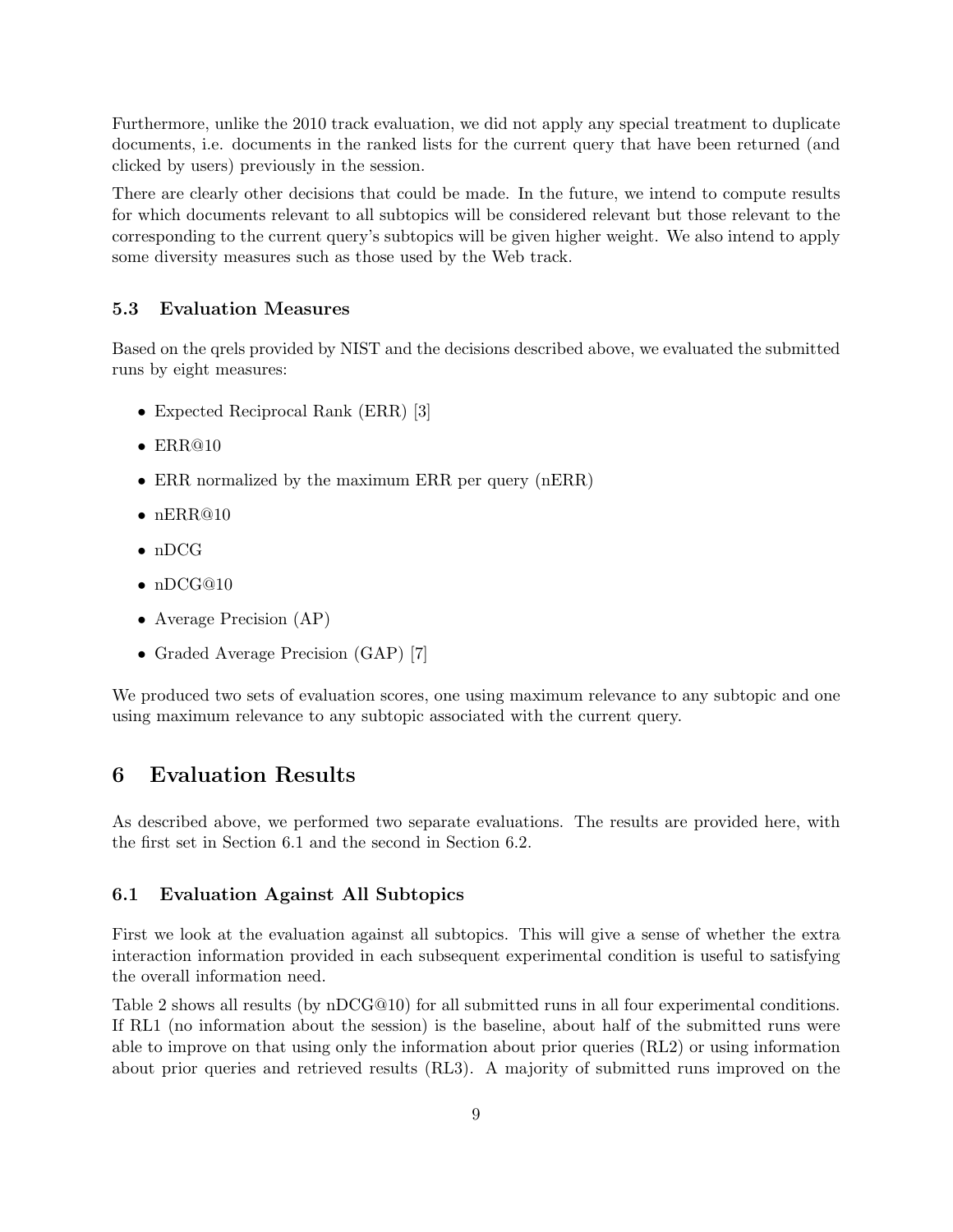Furthermore, unlike the 2010 track evaluation, we did not apply any special treatment to duplicate documents, i.e. documents in the ranked lists for the current query that have been returned (and clicked by users) previously in the session.

There are clearly other decisions that could be made. In the future, we intend to compute results for which documents relevant to all subtopics will be considered relevant but those relevant to the corresponding to the current query's subtopics will be given higher weight. We also intend to apply some diversity measures such as those used by the Web track.

#### 5.3 Evaluation Measures

Based on the qrels provided by NIST and the decisions described above, we evaluated the submitted runs by eight measures:

- Expected Reciprocal Rank (ERR) [3]
- $\bullet$  ERR@10
- ERR normalized by the maximum ERR per query (nERR)
- $\bullet$  nERR@10
- nDCG
- nDCG@10
- Average Precision (AP)
- Graded Average Precision (GAP) [7]

We produced two sets of evaluation scores, one using maximum relevance to any subtopic and one using maximum relevance to any subtopic associated with the current query.

## 6 Evaluation Results

As described above, we performed two separate evaluations. The results are provided here, with the first set in Section 6.1 and the second in Section 6.2.

#### 6.1 Evaluation Against All Subtopics

First we look at the evaluation against all subtopics. This will give a sense of whether the extra interaction information provided in each subsequent experimental condition is useful to satisfying the overall information need.

Table 2 shows all results (by nDCG@10) for all submitted runs in all four experimental conditions. If RL1 (no information about the session) is the baseline, about half of the submitted runs were able to improve on that using only the information about prior queries (RL2) or using information about prior queries and retrieved results (RL3). A majority of submitted runs improved on the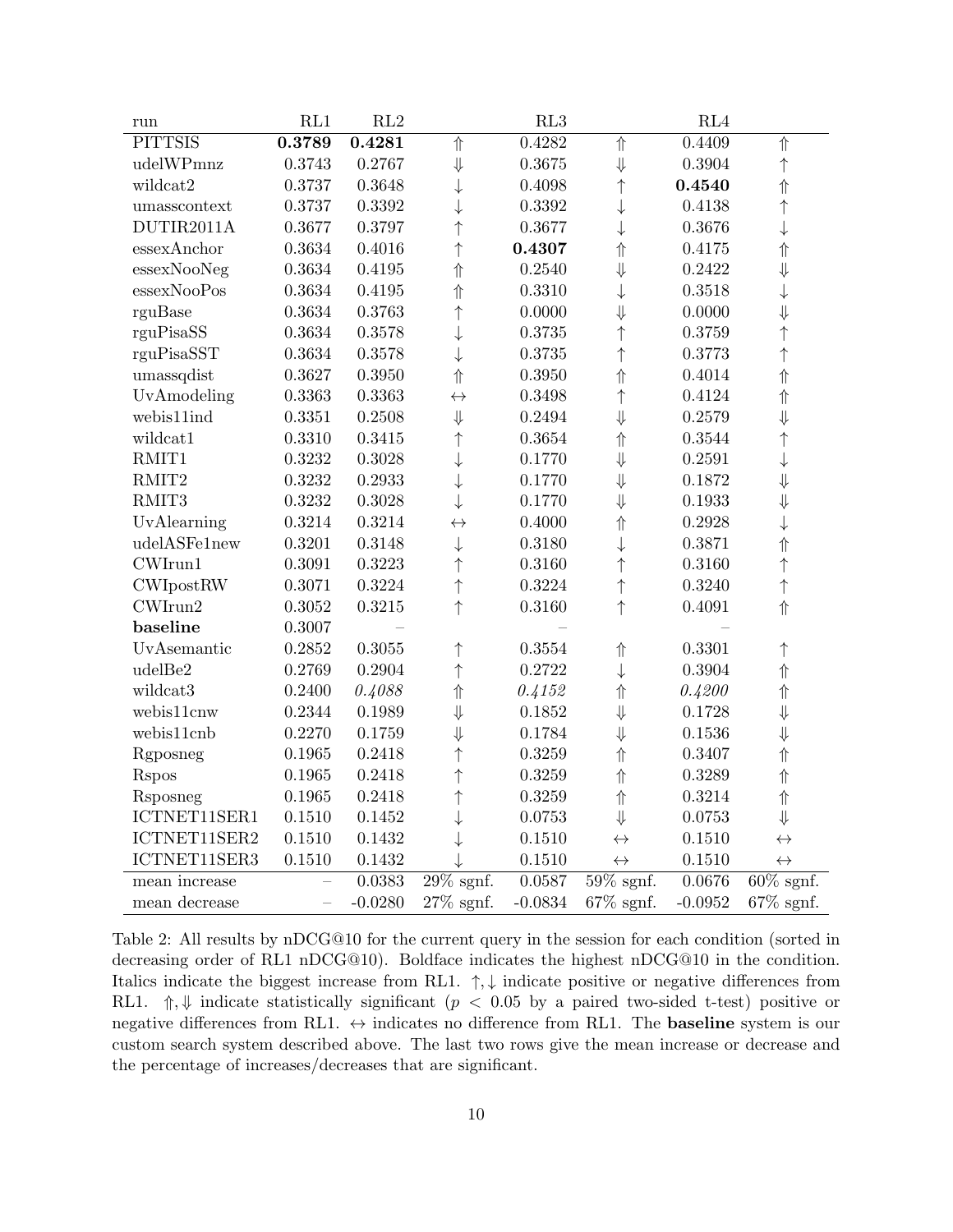| run              | RL1                      | $\mathrm{RL}2$ |                   | RL3       |                   | RL4       |                         |
|------------------|--------------------------|----------------|-------------------|-----------|-------------------|-----------|-------------------------|
| <b>PITTSIS</b>   | 0.3789                   | 0.4281         | ⇑                 | 0.4282    | 介                 | 0.4409    | $\Uparrow$              |
| udelWPmnz        | 0.3743                   | 0.2767         | $\Downarrow$      | 0.3675    | $\Downarrow$      | 0.3904    | $\uparrow$              |
| wildcat2         | 0.3737                   | 0.3648         | $\downarrow$      | 0.4098    | $\uparrow$        | 0.4540    | $\Uparrow$              |
| umasscontext     | 0.3737                   | 0.3392         | $\downarrow$      | 0.3392    | $\downarrow$      | 0.4138    | $\uparrow$              |
| DUTIR2011A       | 0.3677                   | 0.3797         | $\uparrow$        | 0.3677    | $\downarrow$      | 0.3676    | $\downarrow$            |
| essexAnchor      | 0.3634                   | 0.4016         | $\uparrow$        | 0.4307    | $\Uparrow$        | 0.4175    | $\Uparrow$              |
| essexNooNeg      | 0.3634                   | 0.4195         | $\Uparrow$        | 0.2540    | $\Downarrow$      | 0.2422    | $\Downarrow$            |
| essexNooPos      | 0.3634                   | 0.4195         | ⇑                 | 0.3310    | $\downarrow$      | 0.3518    | $\downarrow$            |
| rguBase          | 0.3634                   | 0.3763         | $\uparrow$        | 0.0000    | $\Downarrow$      | 0.0000    | $\Downarrow$            |
| rguPisaSS        | 0.3634                   | 0.3578         | $\downarrow$      | 0.3735    | $\uparrow$        | 0.3759    | $\uparrow$              |
| rguPisaSST       | 0.3634                   | 0.3578         | $\downarrow$      | 0.3735    | $\uparrow$        | 0.3773    | $\uparrow$              |
| umassqdist       | 0.3627                   | 0.3950         | ⇑                 | 0.3950    | $\Uparrow$        | 0.4014    | $\Uparrow$              |
| UvAmodeling      | 0.3363                   | 0.3363         | $\leftrightarrow$ | 0.3498    | $\uparrow$        | 0.4124    | $\Uparrow$              |
| webis11ind       | 0.3351                   | 0.2508         | $\Downarrow$      | 0.2494    | $\Downarrow$      | 0.2579    | $\Downarrow$            |
| wildcat1         | 0.3310                   | $0.3415\,$     | $\uparrow$        | 0.3654    | 介                 | 0.3544    | $\uparrow$              |
| RMIT1            | 0.3232                   | 0.3028         | $\downarrow$      | 0.1770    | $\Downarrow$      | 0.2591    | $\downarrow$            |
| RMIT2            | 0.3232                   | 0.2933         | $\downarrow$      | 0.1770    | $\Downarrow$      | 0.1872    | $\Downarrow$            |
| RMIT3            | 0.3232                   | 0.3028         | $\downarrow$      | 0.1770    | $\Downarrow$      | 0.1933    | $\Downarrow$            |
| UvAlearning      | 0.3214                   | 0.3214         | $\leftrightarrow$ | 0.4000    | 介                 | 0.2928    | $\downarrow$            |
| udelASFe1new     | 0.3201                   | 0.3148         | $\downarrow$      | 0.3180    | $\downarrow$      | 0.3871    | $\Uparrow$              |
| CWIrun1          | 0.3091                   | 0.3223         | $\uparrow$        | 0.3160    | $\uparrow$        | 0.3160    | $\uparrow$              |
| <b>CWIpostRW</b> | 0.3071                   | 0.3224         | ↑                 | 0.3224    | $\uparrow$        | 0.3240    | $\uparrow$              |
| CWIrun2          | 0.3052                   | 0.3215         | $\uparrow$        | 0.3160    | $\uparrow$        | 0.4091    | $\Uparrow$              |
| baseline         | 0.3007                   |                |                   |           |                   |           |                         |
| UvAsemantic      | 0.2852                   | 0.3055         | ↑                 | 0.3554    | $\Uparrow$        | 0.3301    | $\uparrow$              |
| udelBe2          | 0.2769                   | 0.2904         | $\uparrow$        | 0.2722    | $\downarrow$      | 0.3904    | $\Uparrow$              |
| wildcat3         | 0.2400                   | 0.4088         | $\Uparrow$        | 0.4152    | $\Uparrow$        | 0.4200    | $\Uparrow$              |
| webis11cnw       | 0.2344                   | 0.1989         | ⇓                 | 0.1852    | $\Downarrow$      | 0.1728    | ⇓                       |
| webis11cnb       | 0.2270                   | 0.1759         | $\Downarrow$      | 0.1784    | ⇓                 | 0.1536    | ⇓                       |
| Rgposneg         | 0.1965                   | 0.2418         | $\uparrow$        | 0.3259    | 介                 | 0.3407    | $\Uparrow$              |
| <b>Rspos</b>     | 0.1965                   | 0.2418         | $\uparrow$        | 0.3259    | $\Uparrow$        | 0.3289    | $\Uparrow$              |
| Rsposneg         | 0.1965                   | $0.2418\,$     | $\uparrow$        | 0.3259    | $\Uparrow$        | 0.3214    | $\Uparrow$              |
| ICTNET11SER1     | 0.1510                   | 0.1452         |                   | 0.0753    | $\Downarrow$      | 0.0753    | $\Downarrow$            |
| ICTNET11SER2     | 0.1510                   | 0.1432         |                   | 0.1510    | $\leftrightarrow$ | 0.1510    | $\leftrightarrow$       |
| ICTNET11SER3     | 0.1510                   | 0.1432         |                   | 0.1510    | $\leftrightarrow$ | 0.1510    | $\leftrightarrow$       |
| mean increase    | $\overline{\phantom{0}}$ | 0.0383         | $29\%$ sgnf.      | 0.0587    | $59\%$ sgnf.      | 0.0676    | $\overline{60\%}$ sgnf. |
| mean decrease    | $\equiv$                 | $-0.0280$      | $27\%$ sgnf.      | $-0.0834$ | $67\%$ sgnf.      | $-0.0952$ | $67\%$ sgnf.            |

Table 2: All results by nDCG@10 for the current query in the session for each condition (sorted in decreasing order of RL1 nDCG@10). Boldface indicates the highest nDCG@10 in the condition. Italics indicate the biggest increase from RL1.  $\uparrow, \downarrow$  indicate positive or negative differences from RL1.  $\Uparrow, \Downarrow$  indicate statistically significant (p < 0.05 by a paired two-sided t-test) positive or negative differences from RL1.  $\leftrightarrow$  indicates no difference from RL1. The **baseline** system is our custom search system described above. The last two rows give the mean increase or decrease and the percentage of increases/decreases that are significant.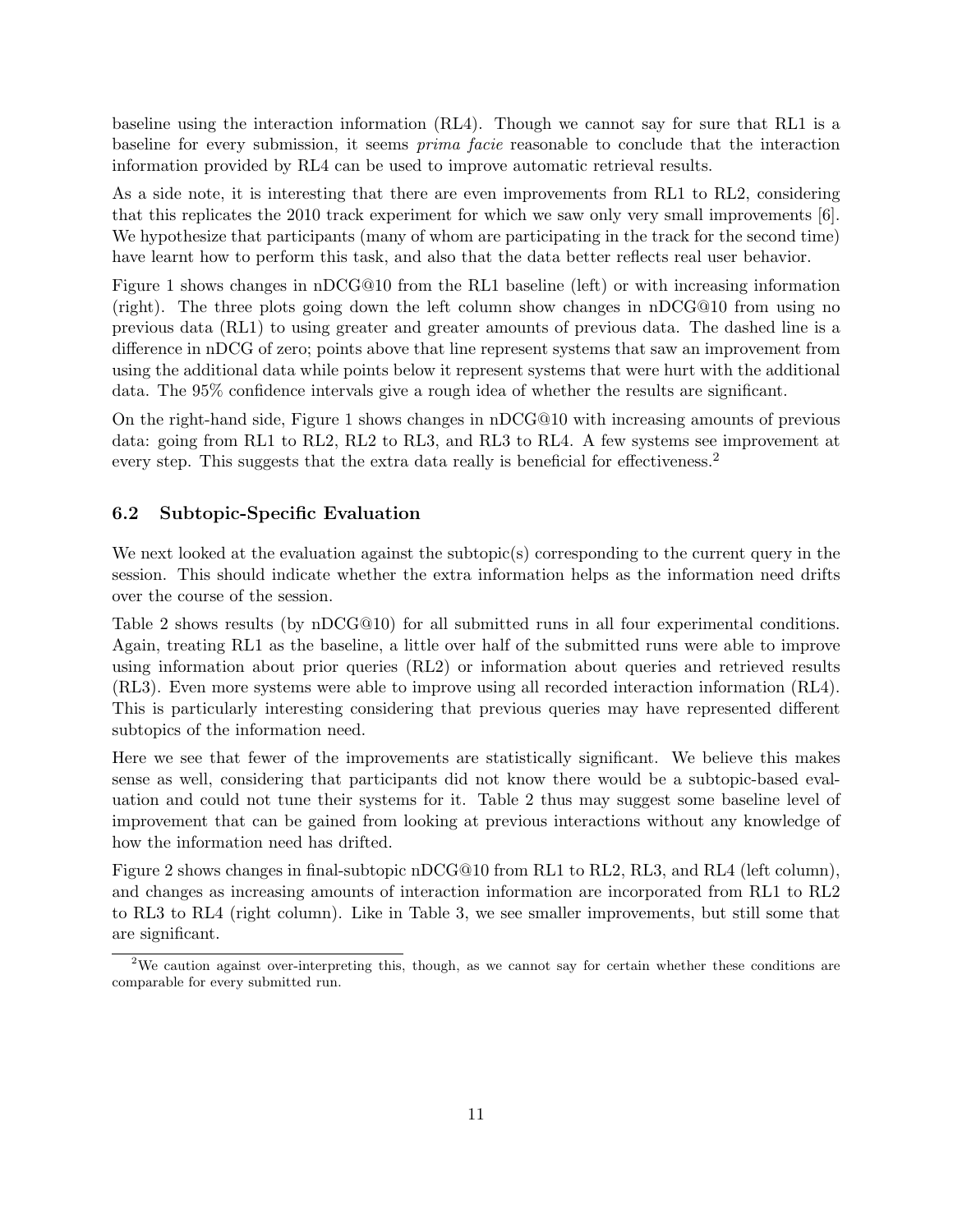baseline using the interaction information (RL4). Though we cannot say for sure that RL1 is a baseline for every submission, it seems prima facie reasonable to conclude that the interaction information provided by RL4 can be used to improve automatic retrieval results.

As a side note, it is interesting that there are even improvements from RL1 to RL2, considering that this replicates the 2010 track experiment for which we saw only very small improvements [6]. We hypothesize that participants (many of whom are participating in the track for the second time) have learnt how to perform this task, and also that the data better reflects real user behavior.

Figure 1 shows changes in nDCG@10 from the RL1 baseline (left) or with increasing information (right). The three plots going down the left column show changes in nDCG@10 from using no previous data (RL1) to using greater and greater amounts of previous data. The dashed line is a difference in nDCG of zero; points above that line represent systems that saw an improvement from using the additional data while points below it represent systems that were hurt with the additional data. The 95% confidence intervals give a rough idea of whether the results are significant.

On the right-hand side, Figure 1 shows changes in nDCG@10 with increasing amounts of previous data: going from RL1 to RL2, RL2 to RL3, and RL3 to RL4. A few systems see improvement at every step. This suggests that the extra data really is beneficial for effectiveness.<sup>2</sup>

#### 6.2 Subtopic-Specific Evaluation

We next looked at the evaluation against the subtopic(s) corresponding to the current query in the session. This should indicate whether the extra information helps as the information need drifts over the course of the session.

Table 2 shows results (by nDCG@10) for all submitted runs in all four experimental conditions. Again, treating RL1 as the baseline, a little over half of the submitted runs were able to improve using information about prior queries (RL2) or information about queries and retrieved results (RL3). Even more systems were able to improve using all recorded interaction information (RL4). This is particularly interesting considering that previous queries may have represented different subtopics of the information need.

Here we see that fewer of the improvements are statistically significant. We believe this makes sense as well, considering that participants did not know there would be a subtopic-based evaluation and could not tune their systems for it. Table 2 thus may suggest some baseline level of improvement that can be gained from looking at previous interactions without any knowledge of how the information need has drifted.

Figure 2 shows changes in final-subtopic nDCG@10 from RL1 to RL2, RL3, and RL4 (left column), and changes as increasing amounts of interaction information are incorporated from RL1 to RL2 to RL3 to RL4 (right column). Like in Table 3, we see smaller improvements, but still some that are significant.

<sup>&</sup>lt;sup>2</sup>We caution against over-interpreting this, though, as we cannot say for certain whether these conditions are comparable for every submitted run.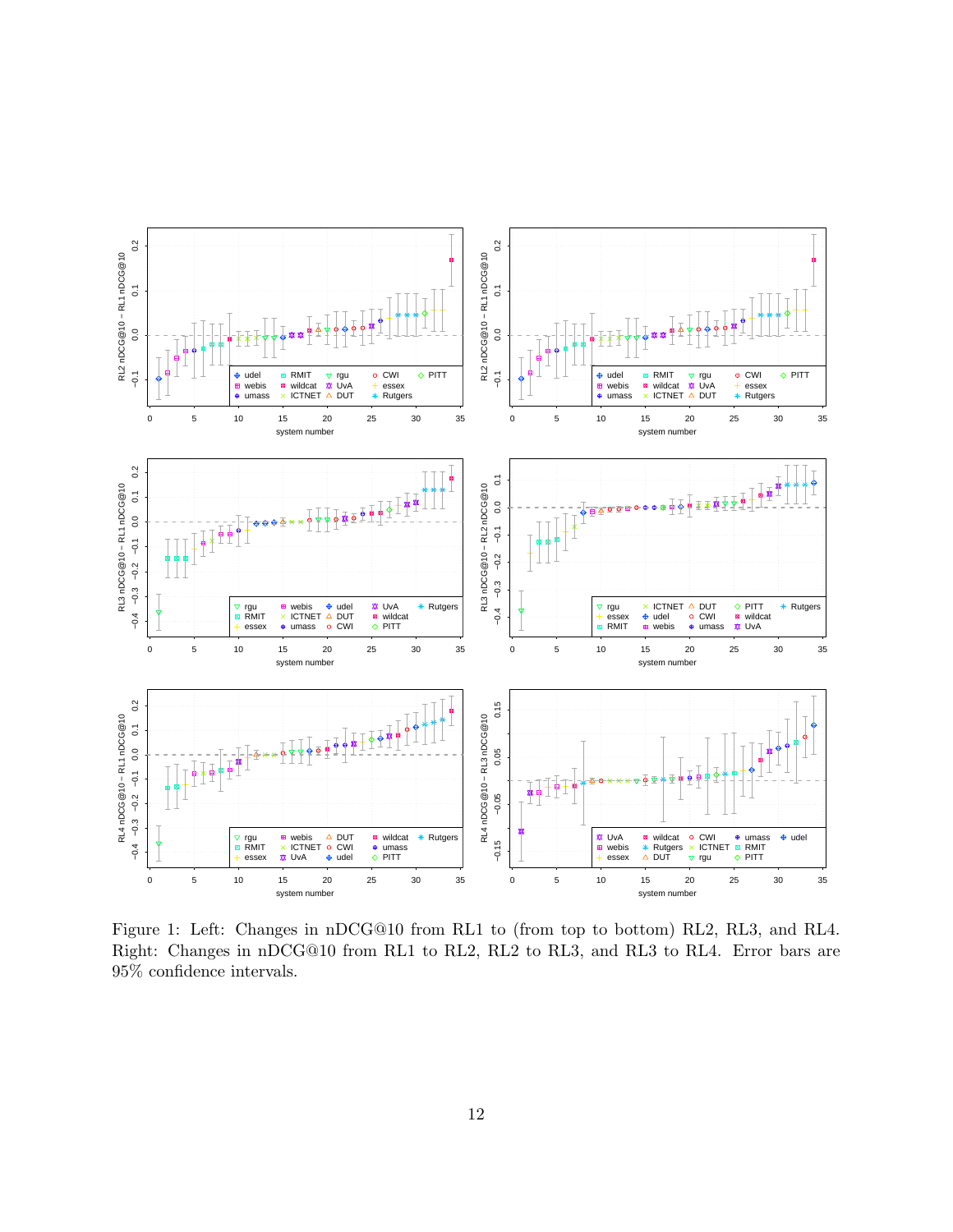

Figure 1: Left: Changes in nDCG@10 from RL1 to (from top to bottom) RL2, RL3, and RL4. Right: Changes in nDCG@10 from RL1 to RL2, RL2 to RL3, and RL3 to RL4. Error bars are 95% confidence intervals.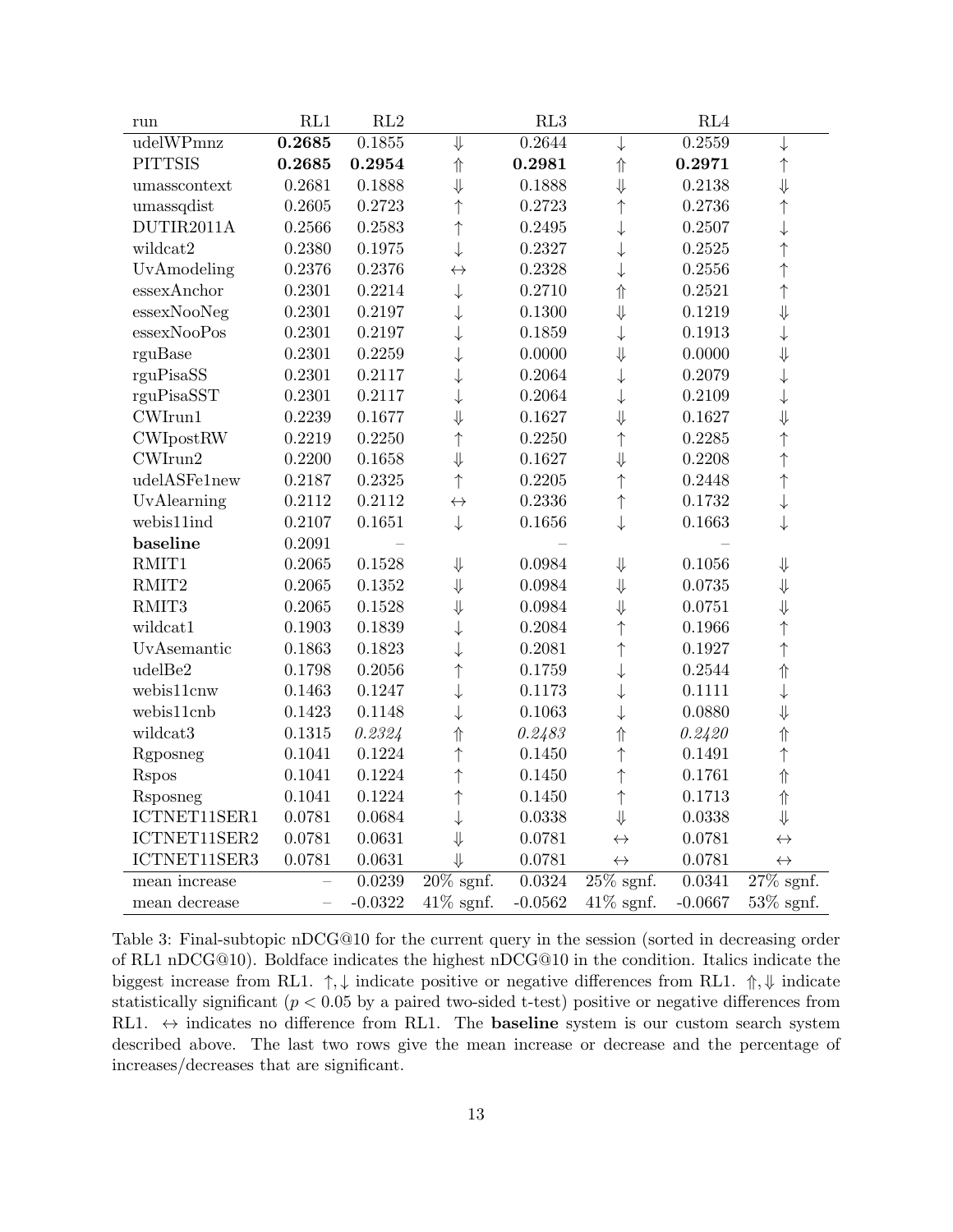| run              | RL1                      | RL2        |                   | RL3       |                   | RL4       |                         |
|------------------|--------------------------|------------|-------------------|-----------|-------------------|-----------|-------------------------|
| udelWPmnz        | 0.2685                   | 0.1855     | ⇓                 | 0.2644    | $\downarrow$      | 0.2559    | $\downarrow$            |
| <b>PITTSIS</b>   | 0.2685                   | 0.2954     | $\Uparrow$        | 0.2981    | $\Uparrow$        | 0.2971    | $\uparrow$              |
| umasscontext     | 0.2681                   | 0.1888     | $\Downarrow$      | 0.1888    | $\Downarrow$      | 0.2138    | $\Downarrow$            |
| umassqdist       | 0.2605                   | 0.2723     | $\uparrow$        | 0.2723    | ↑                 | 0.2736    | $\uparrow$              |
| DUTIR2011A       | 0.2566                   | 0.2583     | $\uparrow$        | 0.2495    | $\downarrow$      | 0.2507    | $\downarrow$            |
| wildcat2         | 0.2380                   | 0.1975     | $\downarrow$      | 0.2327    | $\downarrow$      | 0.2525    | $\uparrow$              |
| UvAmodeling      | 0.2376                   | 0.2376     | $\leftrightarrow$ | 0.2328    |                   | 0.2556    | $\uparrow$              |
| essexAnchor      | 0.2301                   | 0.2214     | $\downarrow$      | 0.2710    | $\Uparrow$        | 0.2521    | $\uparrow$              |
| essexNooNeg      | 0.2301                   | 0.2197     | ↓                 | 0.1300    | $\Downarrow$      | 0.1219    | $\Downarrow$            |
| essexNooPos      | 0.2301                   | 0.2197     |                   | 0.1859    | $\downarrow$      | 0.1913    | $\downarrow$            |
| rguBase          | 0.2301                   | 0.2259     |                   | 0.0000    | $\Downarrow$      | 0.0000    | $\Downarrow$            |
| rguPisaSS        | 0.2301                   | 0.2117     |                   | 0.2064    | $\downarrow$      | 0.2079    | $\downarrow$            |
| rguPisaSST       | 0.2301                   | 0.2117     | ↓                 | 0.2064    |                   | 0.2109    | $\downarrow$            |
| CWI              | 0.2239                   | 0.1677     | $\Downarrow$      | 0.1627    | $\Downarrow$      | 0.1627    | $\downarrow$            |
| <b>CWIpostRW</b> | 0.2219                   | 0.2250     | $\uparrow$        | 0.2250    | $\uparrow$        | 0.2285    | $\uparrow$              |
| CWIrun2          | 0.2200                   | 0.1658     | $\Downarrow$      | 0.1627    | $\Downarrow$      | 0.2208    | $\uparrow$              |
| udelASFe1new     | 0.2187                   | 0.2325     | $\uparrow$        | 0.2205    | $\uparrow$        | 0.2448    | $\uparrow$              |
| UvAlearning      | 0.2112                   | 0.2112     | $\leftrightarrow$ | 0.2336    | $\uparrow$        | 0.1732    | $\downarrow$            |
| webis11ind       | 0.2107                   | 0.1651     | $\downarrow$      | 0.1656    | $\downarrow$      | 0.1663    | $\downarrow$            |
| baseline         | 0.2091                   |            |                   |           |                   |           |                         |
| RMIT1            | 0.2065                   | 0.1528     | $\Downarrow$      | 0.0984    | $\Downarrow$      | 0.1056    | $\Downarrow$            |
| RMIT2            | 0.2065                   | 0.1352     | $\Downarrow$      | 0.0984    | $\Downarrow$      | 0.0735    | $\Downarrow$            |
| RMIT3            | 0.2065                   | 0.1528     | $\Downarrow$      | 0.0984    | ⇓                 | 0.0751    | ⇓                       |
| wildcat1         | 0.1903                   | 0.1839     | ↓                 | 0.2084    | $\uparrow$        | 0.1966    | $\uparrow$              |
| UvAsemantic      | 0.1863                   | $0.1823\,$ |                   | 0.2081    | $\uparrow$        | 0.1927    | $\uparrow$              |
| udelBe2          | 0.1798                   | 0.2056     | $\uparrow$        | 0.1759    |                   | 0.2544    | $\Uparrow$              |
| webis11cnw       | 0.1463                   | 0.1247     |                   | 0.1173    |                   | 0.1111    | $\downarrow$            |
| webis11cnb       | 0.1423                   | 0.1148     |                   | 0.1063    | ↓                 | 0.0880    | $\Downarrow$            |
| wildcat3         | 0.1315                   | 0.2324     | ⇑                 | 0.2483    | $\Uparrow$        | 0.2420    | $\Uparrow$              |
| Rgposneg         | 0.1041                   | 0.1224     | $\uparrow$        | 0.1450    | $\uparrow$        | 0.1491    | $\uparrow$              |
| <b>Rspos</b>     | 0.1041                   | 0.1224     | $\uparrow$        | 0.1450    | $\uparrow$        | 0.1761    | $\Uparrow$              |
| Rsposneg         | 0.1041                   | 0.1224     | $\uparrow$        | 0.1450    | $\uparrow$        | 0.1713    | $\Uparrow$              |
| ICTNET11SER1     | 0.0781                   | 0.0684     | $\downarrow$      | 0.0338    | $\Downarrow$      | 0.0338    | $\Downarrow$            |
| ICTNET11SER2     | 0.0781                   | 0.0631     | $\Downarrow$      | 0.0781    | $\leftrightarrow$ | 0.0781    | $\leftrightarrow$       |
| ICTNET11SER3     | 0.0781                   | 0.0631     | ⇓                 | 0.0781    | $\leftrightarrow$ | 0.0781    | $\leftrightarrow$       |
| mean increase    | $\overline{\phantom{0}}$ | 0.0239     | $20\%$ sgnf.      | 0.0324    | $25\%$ sgnf.      | 0.0341    | $\overline{27\%}$ sgnf. |
| mean decrease    | $\equiv$                 | $-0.0322$  | $41\%$ sgnf.      | $-0.0562$ | $41\%$ sgnf.      | $-0.0667$ | $53\%$ sgnf.            |

Table 3: Final-subtopic nDCG@10 for the current query in the session (sorted in decreasing order of RL1 nDCG@10). Boldface indicates the highest nDCG@10 in the condition. Italics indicate the biggest increase from RL1.  $\uparrow, \downarrow$  indicate positive or negative differences from RL1.  $\uparrow, \downarrow$  indicate statistically significant ( $p < 0.05$  by a paired two-sided t-test) positive or negative differences from RL1.  $\leftrightarrow$  indicates no difference from RL1. The **baseline** system is our custom search system described above. The last two rows give the mean increase or decrease and the percentage of increases/decreases that are significant.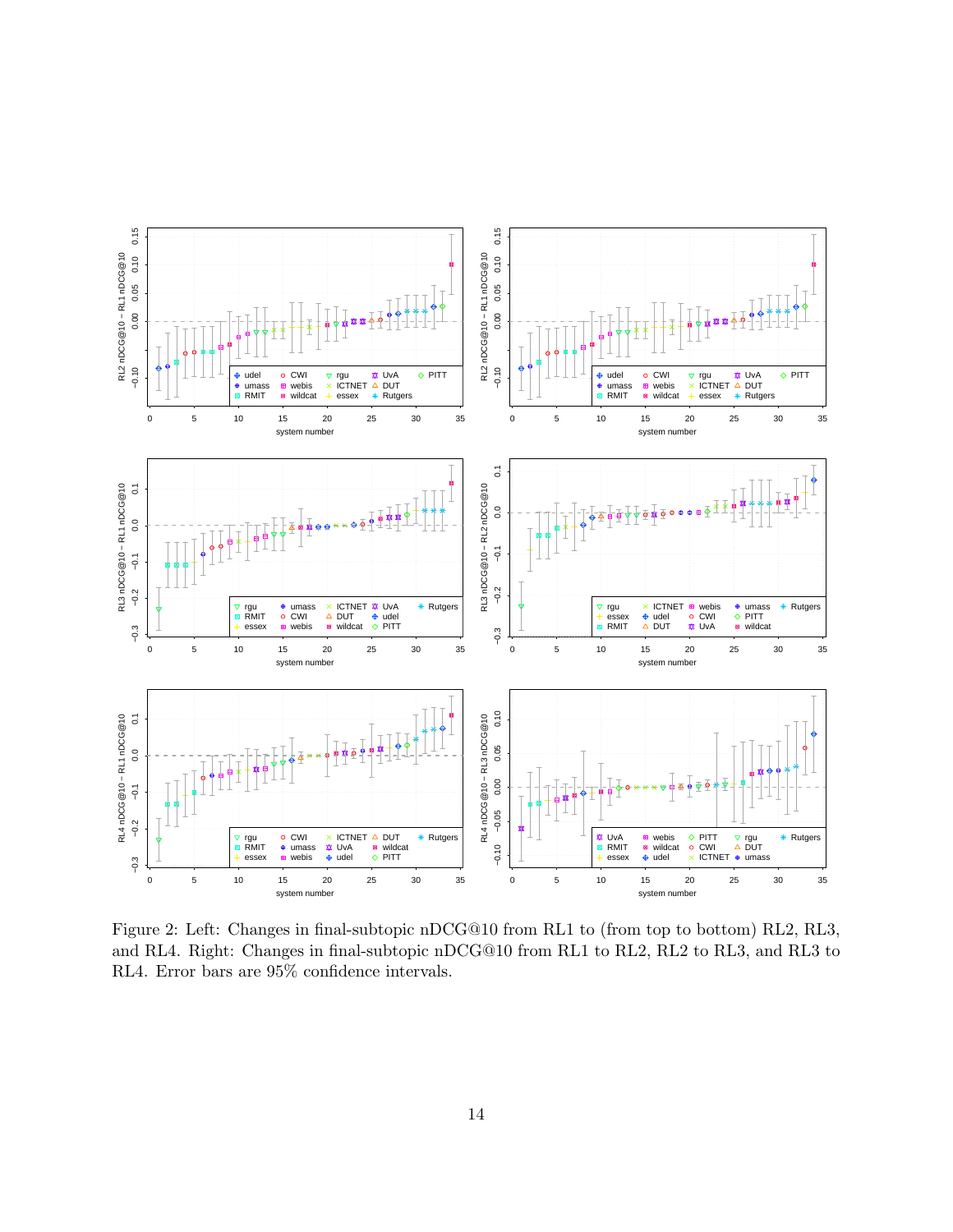

Figure 2: Left: Changes in final-subtopic nDCG@10 from RL1 to (from top to bottom) RL2, RL3, and RL4. Right: Changes in final-subtopic nDCG@10 from RL1 to RL2, RL2 to RL3, and RL3 to RL4. Error bars are 95% confidence intervals.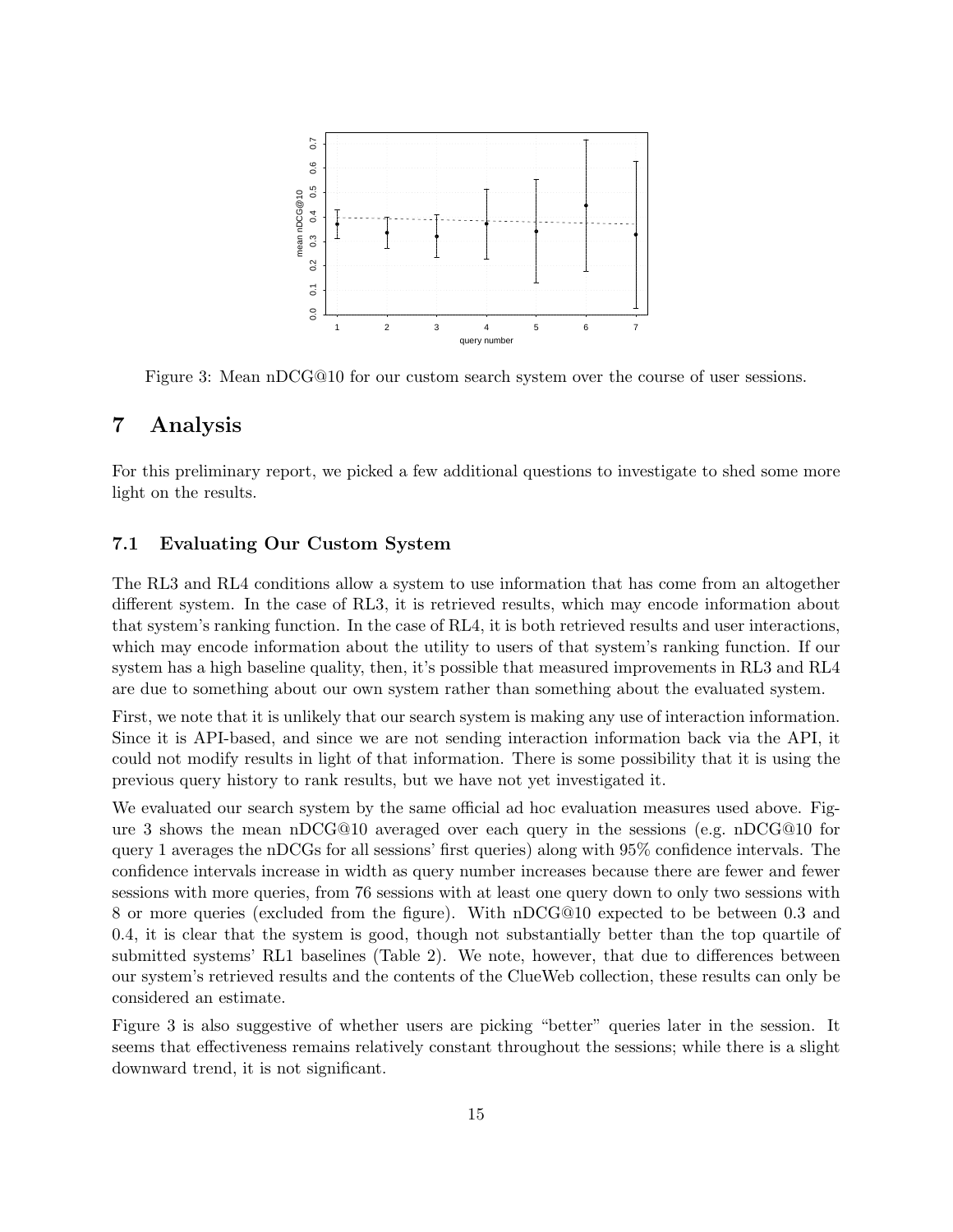

Figure 3: Mean nDCG@10 for our custom search system over the course of user sessions.

# 7 Analysis

For this preliminary report, we picked a few additional questions to investigate to shed some more light on the results.

#### 7.1 Evaluating Our Custom System

The RL3 and RL4 conditions allow a system to use information that has come from an altogether different system. In the case of RL3, it is retrieved results, which may encode information about that system's ranking function. In the case of RL4, it is both retrieved results and user interactions, which may encode information about the utility to users of that system's ranking function. If our system has a high baseline quality, then, it's possible that measured improvements in RL3 and RL4 are due to something about our own system rather than something about the evaluated system.

First, we note that it is unlikely that our search system is making any use of interaction information. Since it is API-based, and since we are not sending interaction information back via the API, it could not modify results in light of that information. There is some possibility that it is using the previous query history to rank results, but we have not yet investigated it.

We evaluated our search system by the same official ad hoc evaluation measures used above. Figure 3 shows the mean nDCG@10 averaged over each query in the sessions (e.g. nDCG@10 for query 1 averages the nDCGs for all sessions' first queries) along with 95% confidence intervals. The confidence intervals increase in width as query number increases because there are fewer and fewer sessions with more queries, from 76 sessions with at least one query down to only two sessions with 8 or more queries (excluded from the figure). With nDCG@10 expected to be between 0.3 and 0.4, it is clear that the system is good, though not substantially better than the top quartile of submitted systems' RL1 baselines (Table 2). We note, however, that due to differences between our system's retrieved results and the contents of the ClueWeb collection, these results can only be considered an estimate.

Figure 3 is also suggestive of whether users are picking "better" queries later in the session. It seems that effectiveness remains relatively constant throughout the sessions; while there is a slight downward trend, it is not significant.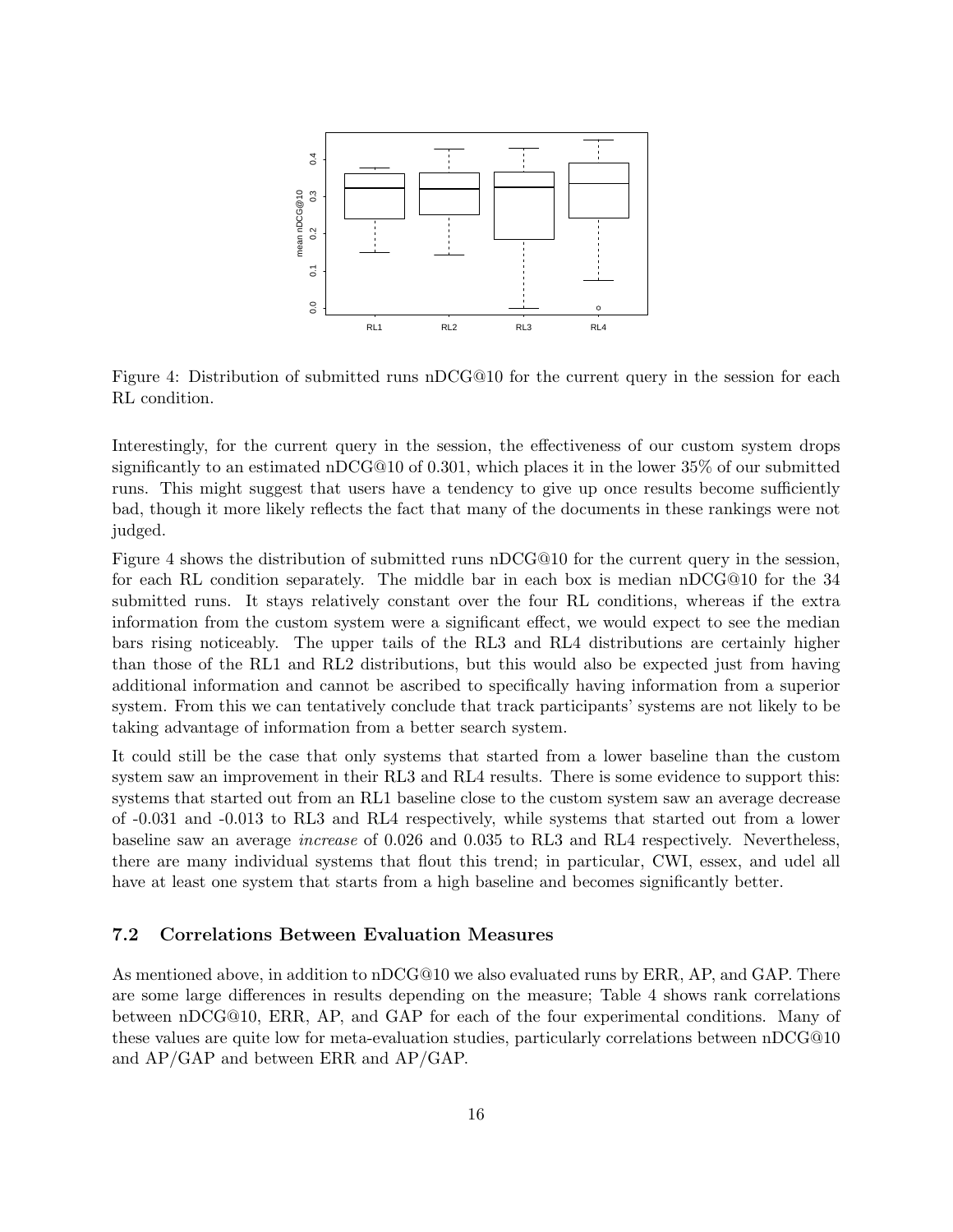

Figure 4: Distribution of submitted runs nDCG@10 for the current query in the session for each RL condition.

Interestingly, for the current query in the session, the effectiveness of our custom system drops significantly to an estimated nDCG@10 of 0.301, which places it in the lower 35% of our submitted runs. This might suggest that users have a tendency to give up once results become sufficiently bad, though it more likely reflects the fact that many of the documents in these rankings were not judged.

Figure 4 shows the distribution of submitted runs nDCG@10 for the current query in the session, for each RL condition separately. The middle bar in each box is median nDCG@10 for the 34 submitted runs. It stays relatively constant over the four RL conditions, whereas if the extra information from the custom system were a significant effect, we would expect to see the median bars rising noticeably. The upper tails of the RL3 and RL4 distributions are certainly higher than those of the RL1 and RL2 distributions, but this would also be expected just from having additional information and cannot be ascribed to specifically having information from a superior system. From this we can tentatively conclude that track participants' systems are not likely to be taking advantage of information from a better search system.

It could still be the case that only systems that started from a lower baseline than the custom system saw an improvement in their RL3 and RL4 results. There is some evidence to support this: systems that started out from an RL1 baseline close to the custom system saw an average decrease of -0.031 and -0.013 to RL3 and RL4 respectively, while systems that started out from a lower baseline saw an average increase of 0.026 and 0.035 to RL3 and RL4 respectively. Nevertheless, there are many individual systems that flout this trend; in particular, CWI, essex, and udel all have at least one system that starts from a high baseline and becomes significantly better.

#### 7.2 Correlations Between Evaluation Measures

As mentioned above, in addition to nDCG@10 we also evaluated runs by ERR, AP, and GAP. There are some large differences in results depending on the measure; Table 4 shows rank correlations between nDCG@10, ERR, AP, and GAP for each of the four experimental conditions. Many of these values are quite low for meta-evaluation studies, particularly correlations between nDCG@10 and AP/GAP and between ERR and AP/GAP.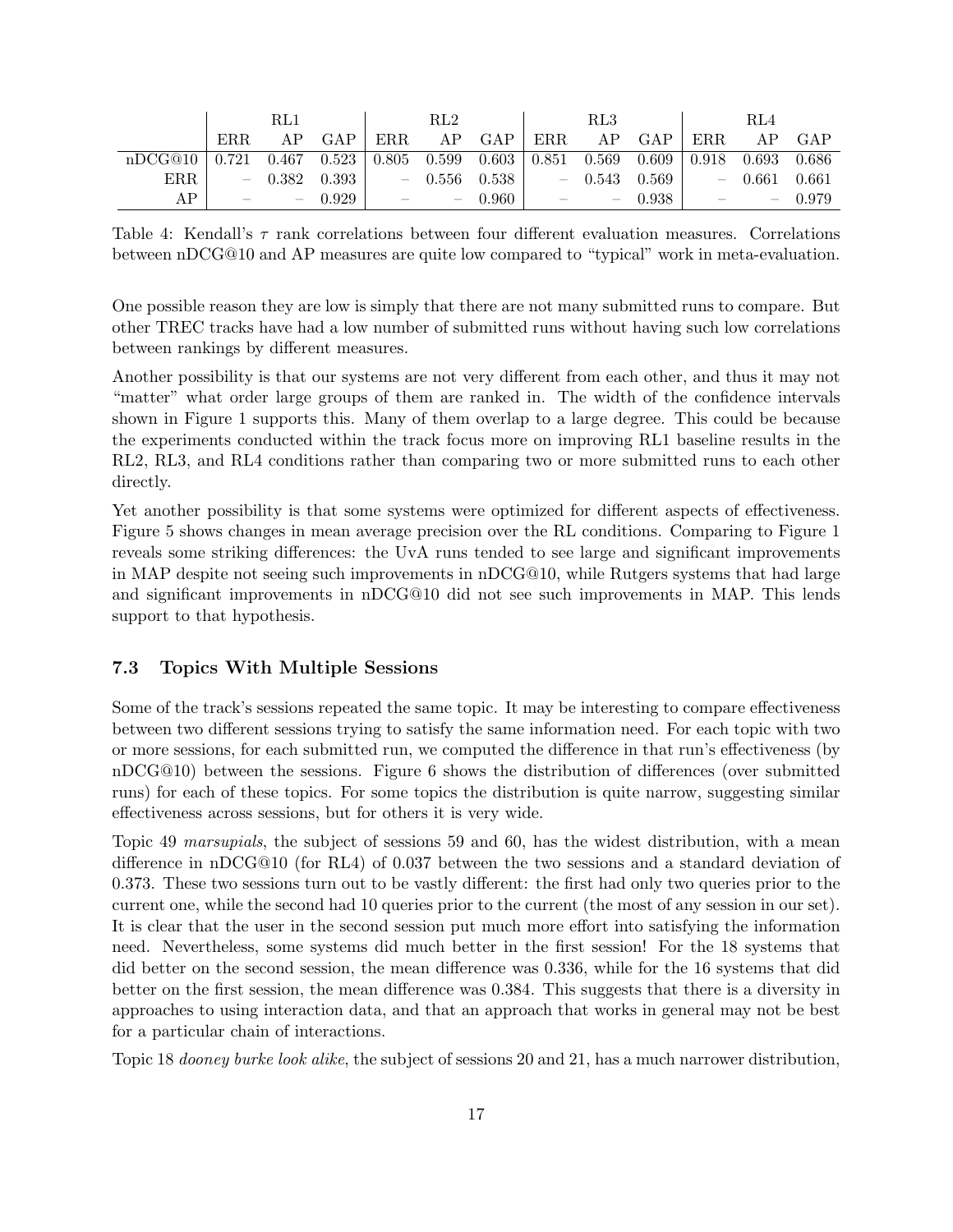|         |       | RL1   |       |                          | $\mathrm{RL}2$           |       |                          | RL3                             |               |                          | RL4   |         |
|---------|-------|-------|-------|--------------------------|--------------------------|-------|--------------------------|---------------------------------|---------------|--------------------------|-------|---------|
|         | ERR.  | AP    | GAP   | ERR.                     | ΑP                       | GAP   | ERR.                     | ΑP                              | GAP           | ERR.                     | AP.   | GAP     |
| nDCG@10 | 0.721 | 0.467 | 0.523 | 0.805                    | 0.599                    | 0.603 | 0.851                    | 0.569                           | 0.609         | 0.918                    | 0.693 | - 0.686 |
| ERR.    | -     | 0.382 | 0.393 | $\overline{\phantom{0}}$ | 0.556                    | 0.538 | $\overline{\phantom{m}}$ | 0.543                           | $0.569$ $\pm$ | $\overline{\phantom{0}}$ | 0.661 | 0.661   |
| AP      |       |       | 0.929 | $\overline{\phantom{a}}$ | $\overline{\phantom{a}}$ | 0.960 | $\qquad \qquad$          | $\hspace{0.1mm}-\hspace{0.1mm}$ | 0.938         | $\overline{\phantom{a}}$ |       | 0.979   |

Table 4: Kendall's  $\tau$  rank correlations between four different evaluation measures. Correlations between nDCG@10 and AP measures are quite low compared to "typical" work in meta-evaluation.

One possible reason they are low is simply that there are not many submitted runs to compare. But other TREC tracks have had a low number of submitted runs without having such low correlations between rankings by different measures.

Another possibility is that our systems are not very different from each other, and thus it may not "matter" what order large groups of them are ranked in. The width of the confidence intervals shown in Figure 1 supports this. Many of them overlap to a large degree. This could be because the experiments conducted within the track focus more on improving RL1 baseline results in the RL2, RL3, and RL4 conditions rather than comparing two or more submitted runs to each other directly.

Yet another possibility is that some systems were optimized for different aspects of effectiveness. Figure 5 shows changes in mean average precision over the RL conditions. Comparing to Figure 1 reveals some striking differences: the UvA runs tended to see large and significant improvements in MAP despite not seeing such improvements in nDCG@10, while Rutgers systems that had large and significant improvements in nDCG@10 did not see such improvements in MAP. This lends support to that hypothesis.

#### 7.3 Topics With Multiple Sessions

Some of the track's sessions repeated the same topic. It may be interesting to compare effectiveness between two different sessions trying to satisfy the same information need. For each topic with two or more sessions, for each submitted run, we computed the difference in that run's effectiveness (by nDCG@10) between the sessions. Figure 6 shows the distribution of differences (over submitted runs) for each of these topics. For some topics the distribution is quite narrow, suggesting similar effectiveness across sessions, but for others it is very wide.

Topic 49 marsupials, the subject of sessions 59 and 60, has the widest distribution, with a mean difference in nDCG@10 (for RL4) of 0.037 between the two sessions and a standard deviation of 0.373. These two sessions turn out to be vastly different: the first had only two queries prior to the current one, while the second had 10 queries prior to the current (the most of any session in our set). It is clear that the user in the second session put much more effort into satisfying the information need. Nevertheless, some systems did much better in the first session! For the 18 systems that did better on the second session, the mean difference was 0.336, while for the 16 systems that did better on the first session, the mean difference was 0.384. This suggests that there is a diversity in approaches to using interaction data, and that an approach that works in general may not be best for a particular chain of interactions.

Topic 18 dooney burke look alike, the subject of sessions 20 and 21, has a much narrower distribution,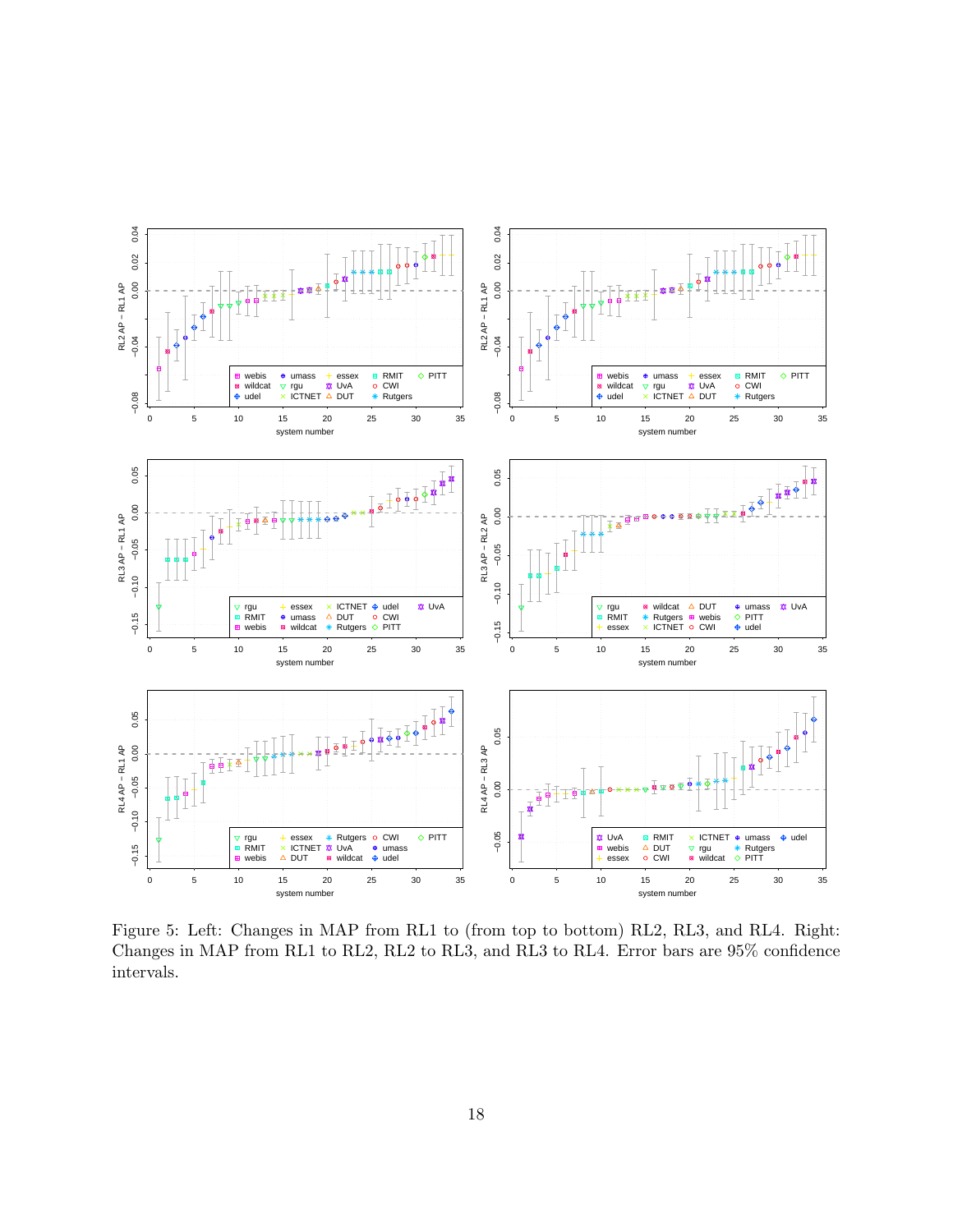

Figure 5: Left: Changes in MAP from RL1 to (from top to bottom) RL2, RL3, and RL4. Right: Changes in MAP from RL1 to RL2, RL2 to RL3, and RL3 to RL4. Error bars are 95% confidence intervals.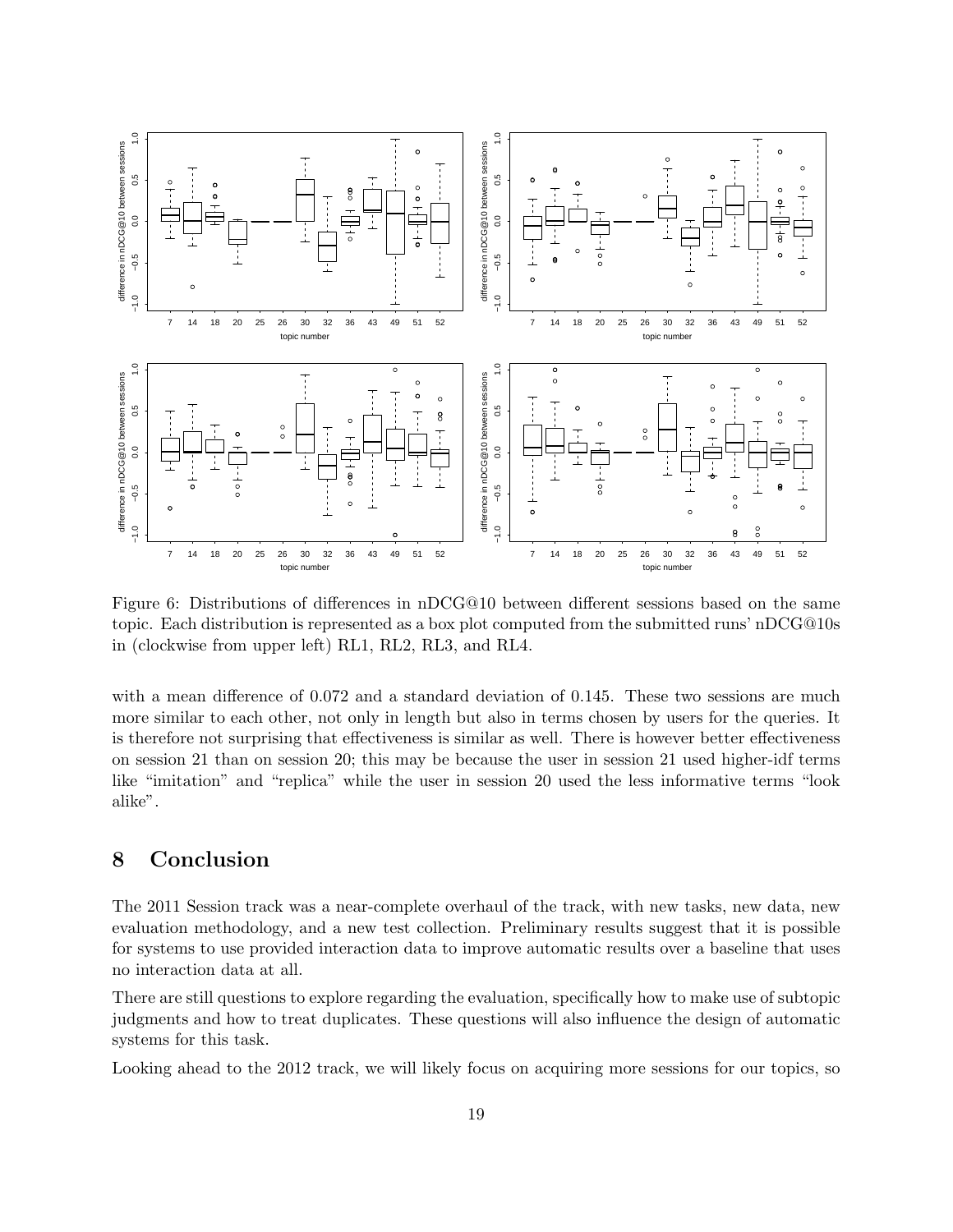

Figure 6: Distributions of differences in nDCG@10 between different sessions based on the same topic. Each distribution is represented as a box plot computed from the submitted runs' nDCG@10s in (clockwise from upper left) RL1, RL2, RL3, and RL4.

with a mean difference of 0.072 and a standard deviation of 0.145. These two sessions are much more similar to each other, not only in length but also in terms chosen by users for the queries. It is therefore not surprising that effectiveness is similar as well. There is however better effectiveness on session 21 than on session 20; this may be because the user in session 21 used higher-idf terms like "imitation" and "replica" while the user in session 20 used the less informative terms "look alike".

# 8 Conclusion

The 2011 Session track was a near-complete overhaul of the track, with new tasks, new data, new evaluation methodology, and a new test collection. Preliminary results suggest that it is possible for systems to use provided interaction data to improve automatic results over a baseline that uses no interaction data at all.

There are still questions to explore regarding the evaluation, specifically how to make use of subtopic judgments and how to treat duplicates. These questions will also influence the design of automatic systems for this task.

Looking ahead to the 2012 track, we will likely focus on acquiring more sessions for our topics, so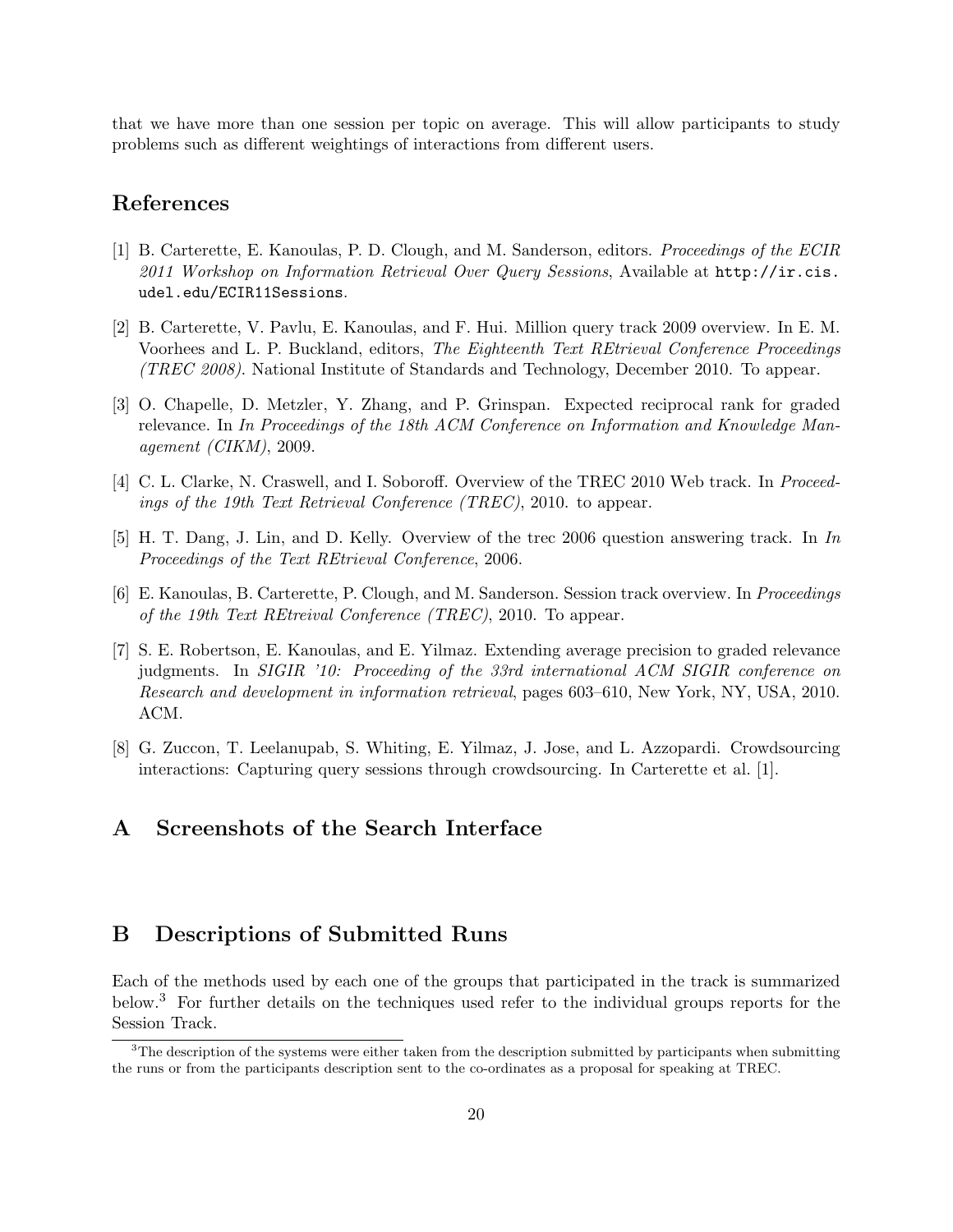that we have more than one session per topic on average. This will allow participants to study problems such as different weightings of interactions from different users.

# References

- [1] B. Carterette, E. Kanoulas, P. D. Clough, and M. Sanderson, editors. Proceedings of the ECIR 2011 Workshop on Information Retrieval Over Query Sessions, Available at  $http://ir.cis.$ udel.edu/ECIR11Sessions.
- [2] B. Carterette, V. Pavlu, E. Kanoulas, and F. Hui. Million query track 2009 overview. In E. M. Voorhees and L. P. Buckland, editors, The Eighteenth Text REtrieval Conference Proceedings (TREC 2008). National Institute of Standards and Technology, December 2010. To appear.
- [3] O. Chapelle, D. Metzler, Y. Zhang, and P. Grinspan. Expected reciprocal rank for graded relevance. In In Proceedings of the 18th ACM Conference on Information and Knowledge Management (CIKM), 2009.
- [4] C. L. Clarke, N. Craswell, and I. Soboroff. Overview of the TREC 2010 Web track. In Proceedings of the 19th Text Retrieval Conference (TREC), 2010. to appear.
- [5] H. T. Dang, J. Lin, and D. Kelly. Overview of the trec 2006 question answering track. In In Proceedings of the Text REtrieval Conference, 2006.
- [6] E. Kanoulas, B. Carterette, P. Clough, and M. Sanderson. Session track overview. In Proceedings of the 19th Text REtreival Conference (TREC), 2010. To appear.
- [7] S. E. Robertson, E. Kanoulas, and E. Yilmaz. Extending average precision to graded relevance judgments. In SIGIR '10: Proceeding of the 33rd international ACM SIGIR conference on Research and development in information retrieval, pages 603–610, New York, NY, USA, 2010. ACM.
- [8] G. Zuccon, T. Leelanupab, S. Whiting, E. Yilmaz, J. Jose, and L. Azzopardi. Crowdsourcing interactions: Capturing query sessions through crowdsourcing. In Carterette et al. [1].

# A Screenshots of the Search Interface

# B Descriptions of Submitted Runs

Each of the methods used by each one of the groups that participated in the track is summarized below.<sup>3</sup> For further details on the techniques used refer to the individual groups reports for the Session Track.

 $3$ The description of the systems were either taken from the description submitted by participants when submitting the runs or from the participants description sent to the co-ordinates as a proposal for speaking at TREC.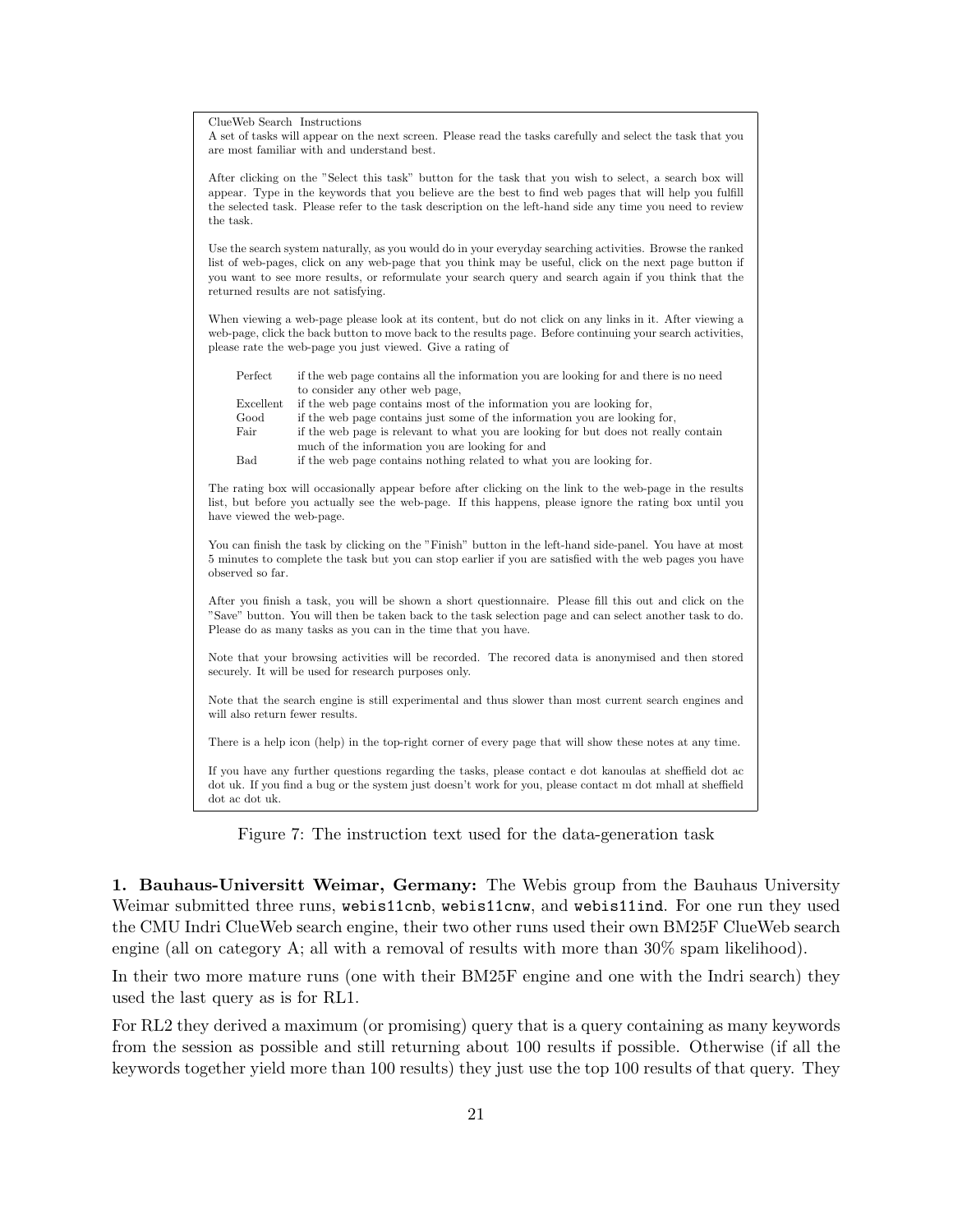ClueWeb Search Instructions

A set of tasks will appear on the next screen. Please read the tasks carefully and select the task that you are most familiar with and understand best.

After clicking on the "Select this task" button for the task that you wish to select, a search box will appear. Type in the keywords that you believe are the best to find web pages that will help you fulfill the selected task. Please refer to the task description on the left-hand side any time you need to review the task.

Use the search system naturally, as you would do in your everyday searching activities. Browse the ranked list of web-pages, click on any web-page that you think may be useful, click on the next page button if you want to see more results, or reformulate your search query and search again if you think that the returned results are not satisfying.

When viewing a web-page please look at its content, but do not click on any links in it. After viewing a web-page, click the back button to move back to the results page. Before continuing your search activities, please rate the web-page you just viewed. Give a rating of

| Perfect   | if the web page contains all the information you are looking for and there is no need |
|-----------|---------------------------------------------------------------------------------------|
|           | to consider any other web page.                                                       |
| Excellent | if the web page contains most of the information you are looking for.                 |
| Good      | if the web page contains just some of the information you are looking for.            |
| Fair      | if the web page is relevant to what you are looking for but does not really contain   |
|           | much of the information you are looking for and                                       |
| Bad       | if the web page contains nothing related to what you are looking for.                 |

The rating box will occasionally appear before after clicking on the link to the web-page in the results list, but before you actually see the web-page. If this happens, please ignore the rating box until you have viewed the web-page.

You can finish the task by clicking on the "Finish" button in the left-hand side-panel. You have at most 5 minutes to complete the task but you can stop earlier if you are satisfied with the web pages you have observed so far.

After you finish a task, you will be shown a short questionnaire. Please fill this out and click on the "Save" button. You will then be taken back to the task selection page and can select another task to do. Please do as many tasks as you can in the time that you have.

Note that your browsing activities will be recorded. The recored data is anonymised and then stored securely. It will be used for research purposes only.

Note that the search engine is still experimental and thus slower than most current search engines and will also return fewer results.

There is a help icon (help) in the top-right corner of every page that will show these notes at any time.

If you have any further questions regarding the tasks, please contact e dot kanoulas at sheffield dot ac dot uk. If you find a bug or the system just doesn't work for you, please contact m dot mhall at sheffield dot ac dot uk.

Figure 7: The instruction text used for the data-generation task

1. Bauhaus-Universitt Weimar, Germany: The Webis group from the Bauhaus University Weimar submitted three runs, webis11cnb, webis11cnw, and webis11ind. For one run they used the CMU Indri ClueWeb search engine, their two other runs used their own BM25F ClueWeb search engine (all on category A; all with a removal of results with more than  $30\%$  spam likelihood).

In their two more mature runs (one with their BM25F engine and one with the Indri search) they used the last query as is for RL1.

For RL2 they derived a maximum (or promising) query that is a query containing as many keywords from the session as possible and still returning about 100 results if possible. Otherwise (if all the keywords together yield more than 100 results) they just use the top 100 results of that query. They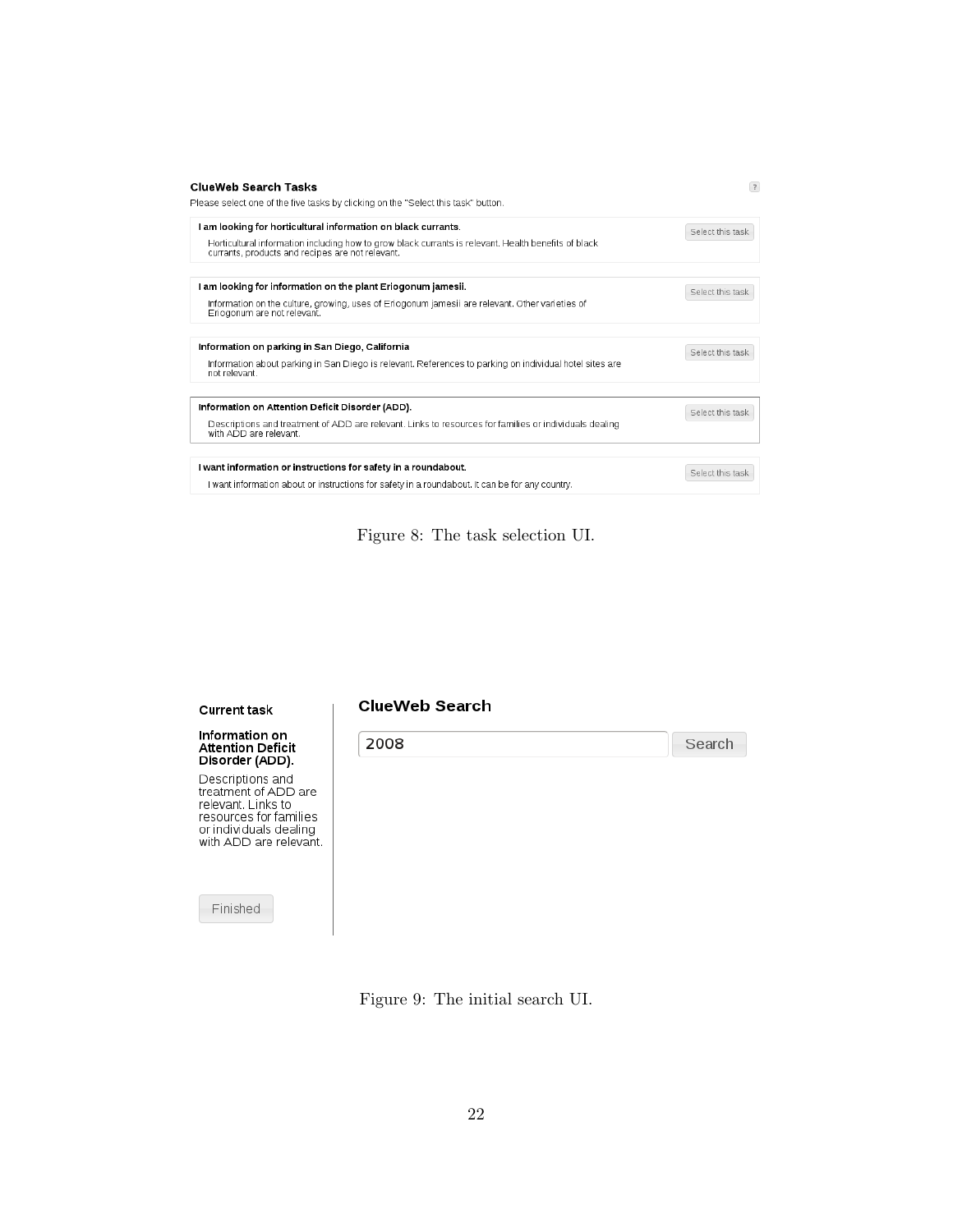| <b>ClueWeb Search Tasks</b><br>Please select one of the five tasks by clicking on the "Select this task" button.                                                                                                          | $\overline{?}$   |
|---------------------------------------------------------------------------------------------------------------------------------------------------------------------------------------------------------------------------|------------------|
| I am looking for horticultural information on black currants.<br>Horticultural information including how to grow black currants is relevant. Health benefits of black<br>currants, products and recipes are not relevant. | Select this task |
| I am looking for information on the plant Eriogonum jamesii.<br>Information on the culture, growing, uses of Eriogonum jamesii are relevant. Other varieties of<br>Eriogonum are not relevant.                            | Select this task |
| Information on parking in San Diego, California<br>Information about parking in San Diego is relevant. References to parking on individual hotel sites are                                                                | Select this task |
| not relevant.<br>Information on Attention Deficit Disorder (ADD).                                                                                                                                                         |                  |
| Descriptions and treatment of ADD are relevant. Links to resources for families or individuals dealing<br>with ADD are relevant.                                                                                          | Select this task |
| I want information or instructions for safety in a roundabout.<br>I want information about or instructions for safety in a roundabout. It can be for any country,                                                         | Select this task |

Figure 8: The task selection UI.

Search

#### **Current task**

# Information on<br>Attention Deficit<br>Disorder (ADD).

Descriptions and<br>treatment of ADD are<br>relevant. Links to<br>resources for families or individuals dealing<br>with ADD are relevant.

Finished

#### **ClueWeb Search**

2008

Figure 9: The initial search UI.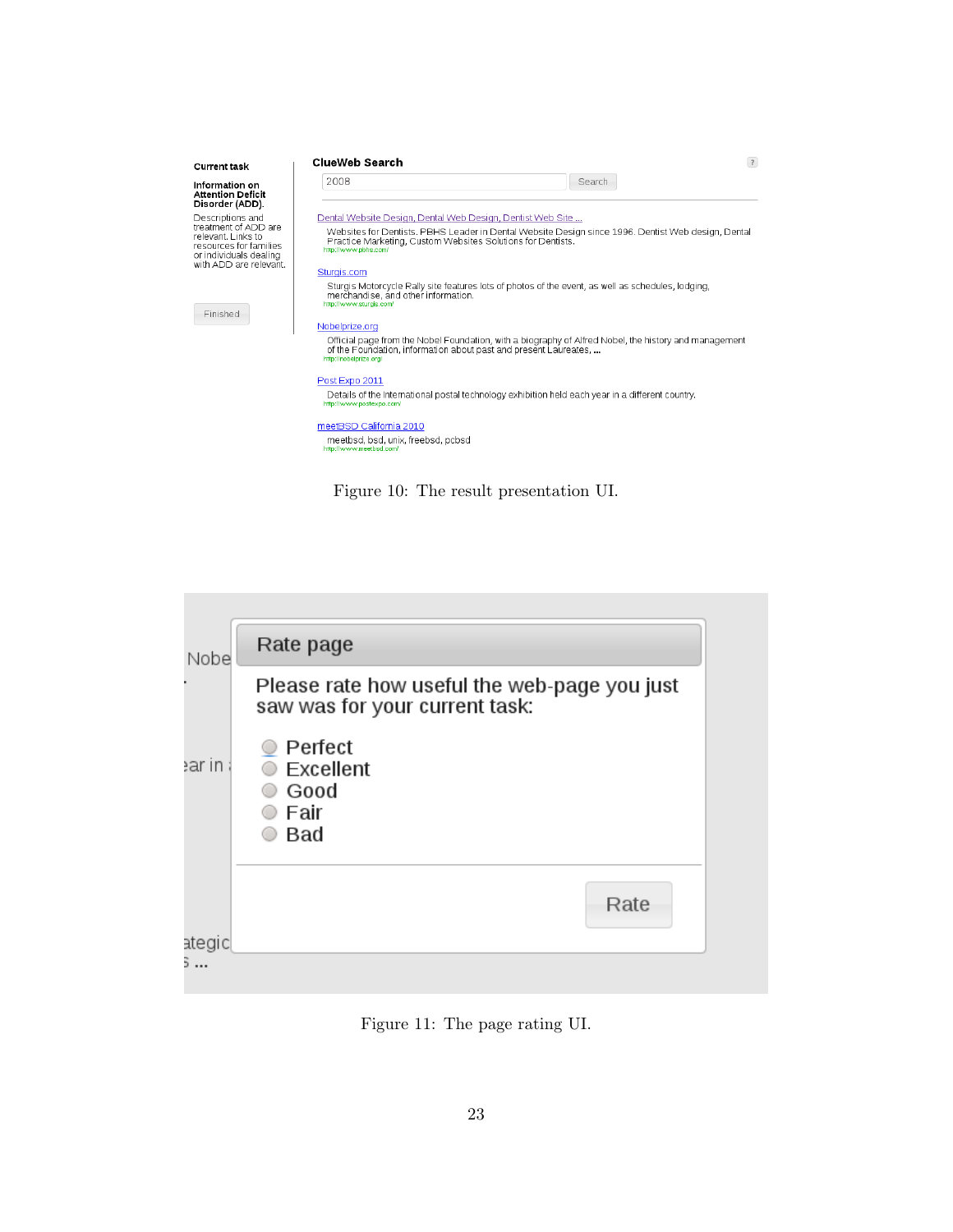| <b>Current task</b>                                                                                                     | <b>ClueWeb Search</b>                                                                      |                                                                                                       | $\overline{?}$ |
|-------------------------------------------------------------------------------------------------------------------------|--------------------------------------------------------------------------------------------|-------------------------------------------------------------------------------------------------------|----------------|
| Information on<br><b>Attention Deficit</b><br>Disorder (ADD).                                                           | 2008                                                                                       | Search                                                                                                |                |
| Descriptions and                                                                                                        | Dental Website Design, Dental Web Design, Dentist Web Site                                 |                                                                                                       |                |
| treatment of ADD are<br>relevant Links to<br>resources for families<br>or individuals dealing<br>with ADD are relevant. | Practice Marketing, Custom Websites Solutions for Dentists.<br>http://www.pbhs.com/        | Websites for Dentists. PBHS Leader in Dental Website Design since 1996. Dentist Web design, Dental    |                |
|                                                                                                                         | Sturgis.com                                                                                |                                                                                                       |                |
| Finished                                                                                                                | merchandise, and other information.<br>http://www.sturgis.com/                             | Sturgis Motorcycle Rally site features lots of photos of the event, as well as schedules, lodging,    |                |
|                                                                                                                         | Nobelprize.org                                                                             |                                                                                                       |                |
|                                                                                                                         | of the Foundation, information about past and present Laureates,<br>http://nobelprize.org/ | Official page from the Nobel Foundation, with a biography of Alfred Nobel, the history and management |                |
|                                                                                                                         | Post Expo 2011                                                                             |                                                                                                       |                |
|                                                                                                                         | http://www.postexpo.com/                                                                   | Details of the International postal technology exhibition held each year in a different country.      |                |
|                                                                                                                         | meetBSD California 2010<br>meetbsd, bsd, unix, freebsd, pcbsd<br>http://www.meetbsd.com/   |                                                                                                       |                |

Figure 10: The result presentation UI.



Figure 11: The page rating UI.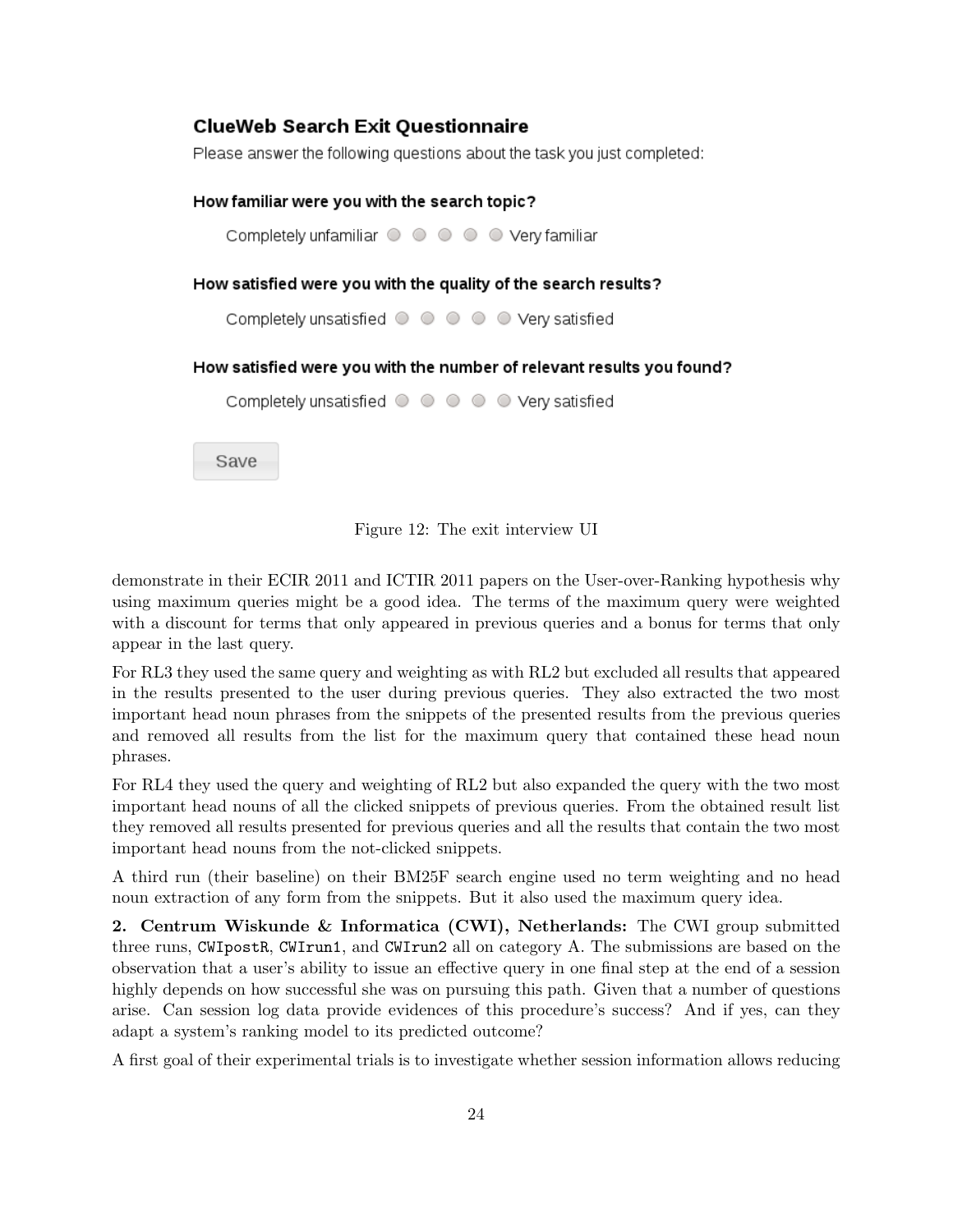# **ClueWeb Search Exit Ouestionnaire**

Please answer the following questions about the task you just completed:



Figure 12: The exit interview UI

demonstrate in their ECIR 2011 and ICTIR 2011 papers on the User-over-Ranking hypothesis why using maximum queries might be a good idea. The terms of the maximum query were weighted with a discount for terms that only appeared in previous queries and a bonus for terms that only appear in the last query.

For RL3 they used the same query and weighting as with RL2 but excluded all results that appeared in the results presented to the user during previous queries. They also extracted the two most important head noun phrases from the snippets of the presented results from the previous queries and removed all results from the list for the maximum query that contained these head noun phrases.

For RL4 they used the query and weighting of RL2 but also expanded the query with the two most important head nouns of all the clicked snippets of previous queries. From the obtained result list they removed all results presented for previous queries and all the results that contain the two most important head nouns from the not-clicked snippets.

A third run (their baseline) on their BM25F search engine used no term weighting and no head noun extraction of any form from the snippets. But it also used the maximum query idea.

2. Centrum Wiskunde & Informatica (CWI), Netherlands: The CWI group submitted three runs, CWIpostR, CWIrun1, and CWIrun2 all on category A. The submissions are based on the observation that a user's ability to issue an effective query in one final step at the end of a session highly depends on how successful she was on pursuing this path. Given that a number of questions arise. Can session log data provide evidences of this procedure's success? And if yes, can they adapt a system's ranking model to its predicted outcome?

A first goal of their experimental trials is to investigate whether session information allows reducing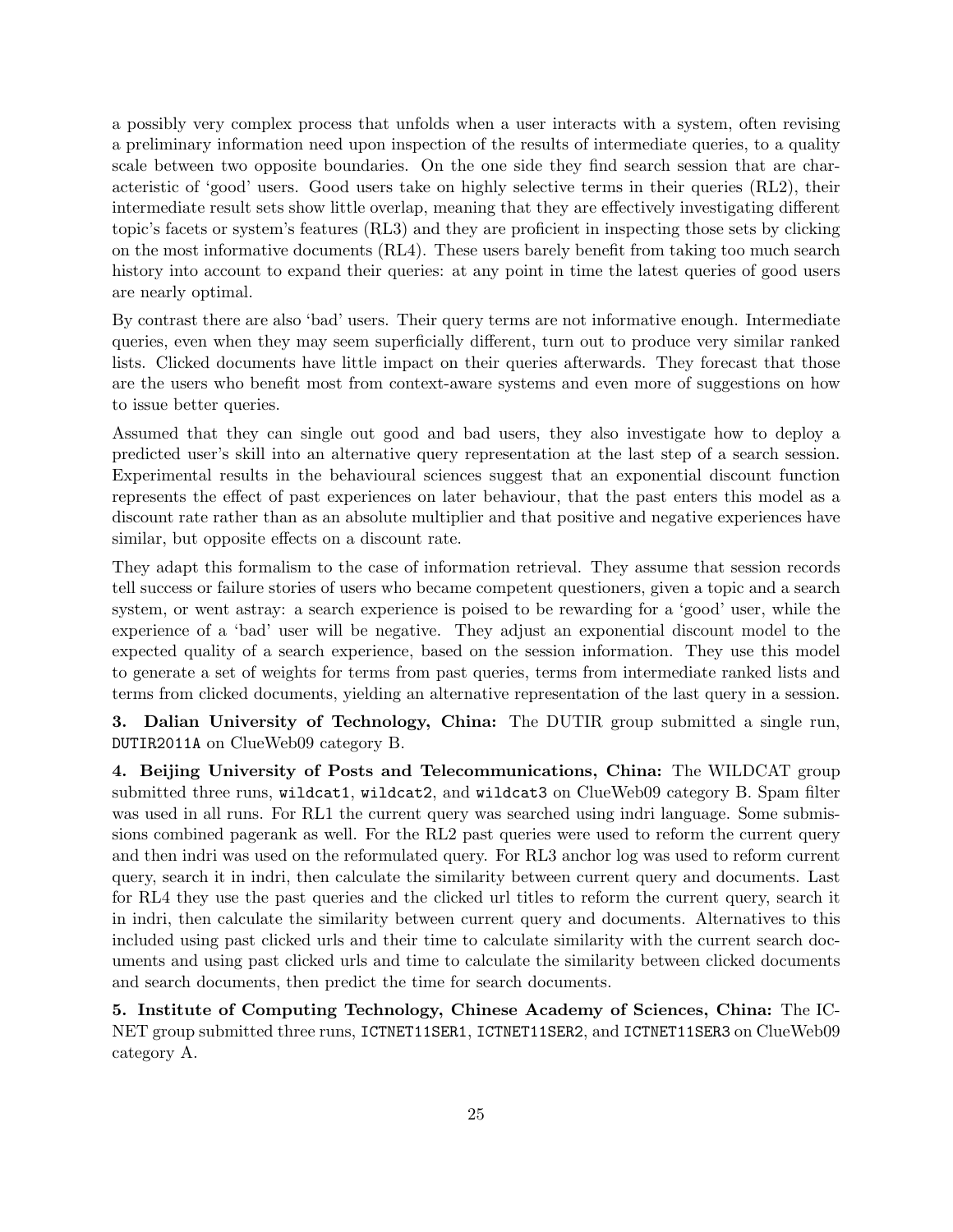a possibly very complex process that unfolds when a user interacts with a system, often revising a preliminary information need upon inspection of the results of intermediate queries, to a quality scale between two opposite boundaries. On the one side they find search session that are characteristic of 'good' users. Good users take on highly selective terms in their queries (RL2), their intermediate result sets show little overlap, meaning that they are effectively investigating different topic's facets or system's features (RL3) and they are proficient in inspecting those sets by clicking on the most informative documents (RL4). These users barely benefit from taking too much search history into account to expand their queries: at any point in time the latest queries of good users are nearly optimal.

By contrast there are also 'bad' users. Their query terms are not informative enough. Intermediate queries, even when they may seem superficially different, turn out to produce very similar ranked lists. Clicked documents have little impact on their queries afterwards. They forecast that those are the users who benefit most from context-aware systems and even more of suggestions on how to issue better queries.

Assumed that they can single out good and bad users, they also investigate how to deploy a predicted user's skill into an alternative query representation at the last step of a search session. Experimental results in the behavioural sciences suggest that an exponential discount function represents the effect of past experiences on later behaviour, that the past enters this model as a discount rate rather than as an absolute multiplier and that positive and negative experiences have similar, but opposite effects on a discount rate.

They adapt this formalism to the case of information retrieval. They assume that session records tell success or failure stories of users who became competent questioners, given a topic and a search system, or went astray: a search experience is poised to be rewarding for a 'good' user, while the experience of a 'bad' user will be negative. They adjust an exponential discount model to the expected quality of a search experience, based on the session information. They use this model to generate a set of weights for terms from past queries, terms from intermediate ranked lists and terms from clicked documents, yielding an alternative representation of the last query in a session.

3. Dalian University of Technology, China: The DUTIR group submitted a single run, DUTIR2011A on ClueWeb09 category B.

4. Beijing University of Posts and Telecommunications, China: The WILDCAT group submitted three runs, wildcat1, wildcat2, and wildcat3 on ClueWeb09 category B. Spam filter was used in all runs. For RL1 the current query was searched using indri language. Some submissions combined pagerank as well. For the RL2 past queries were used to reform the current query and then indri was used on the reformulated query. For RL3 anchor log was used to reform current query, search it in indri, then calculate the similarity between current query and documents. Last for RL4 they use the past queries and the clicked url titles to reform the current query, search it in indri, then calculate the similarity between current query and documents. Alternatives to this included using past clicked urls and their time to calculate similarity with the current search documents and using past clicked urls and time to calculate the similarity between clicked documents and search documents, then predict the time for search documents.

5. Institute of Computing Technology, Chinese Academy of Sciences, China: The IC-NET group submitted three runs, ICTNET11SER1, ICTNET11SER2, and ICTNET11SER3 on ClueWeb09 category A.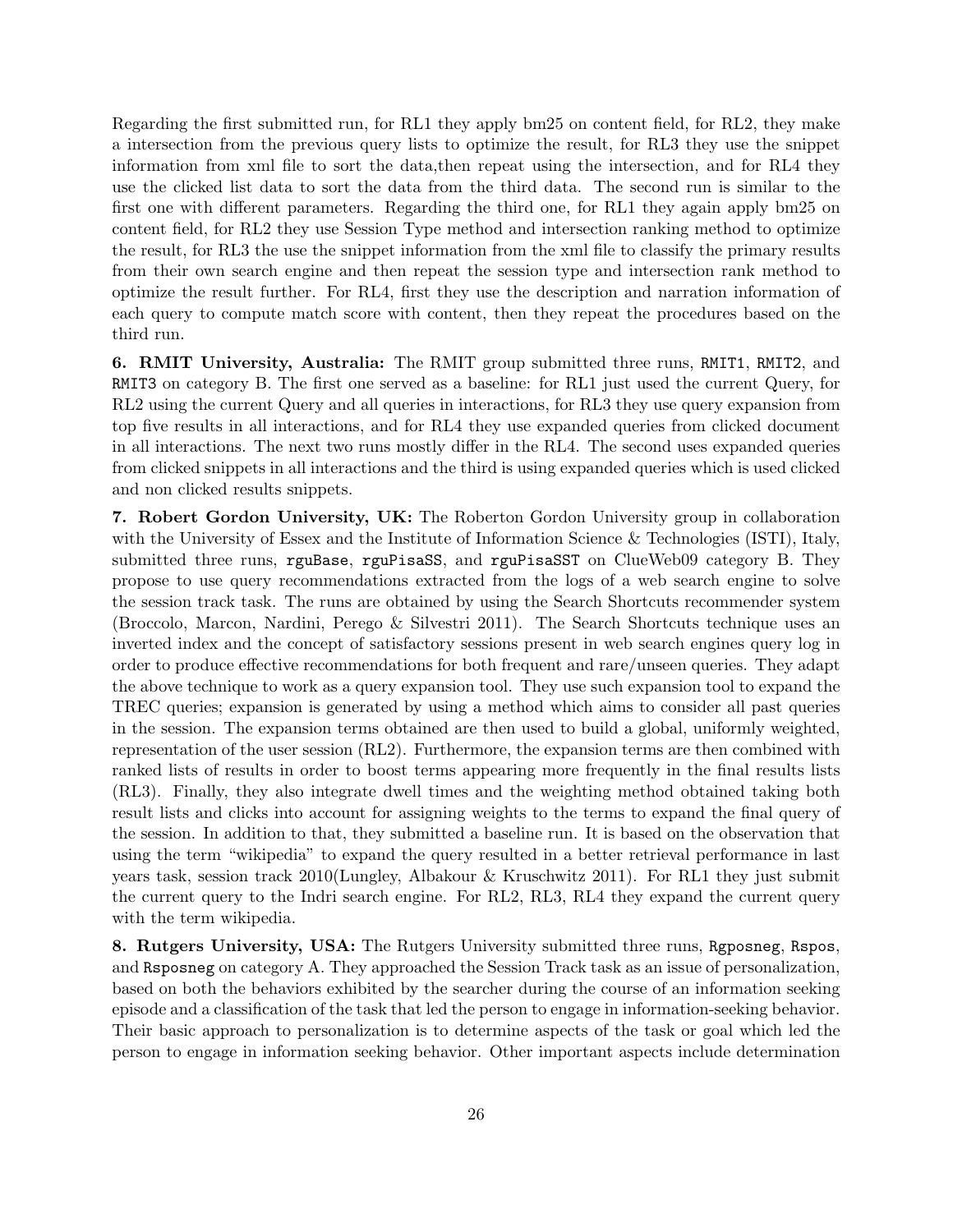Regarding the first submitted run, for RL1 they apply bm25 on content field, for RL2, they make a intersection from the previous query lists to optimize the result, for RL3 they use the snippet information from xml file to sort the data,then repeat using the intersection, and for RL4 they use the clicked list data to sort the data from the third data. The second run is similar to the first one with different parameters. Regarding the third one, for RL1 they again apply bm25 on content field, for RL2 they use Session Type method and intersection ranking method to optimize the result, for RL3 the use the snippet information from the xml file to classify the primary results from their own search engine and then repeat the session type and intersection rank method to optimize the result further. For RL4, first they use the description and narration information of each query to compute match score with content, then they repeat the procedures based on the third run.

6. RMIT University, Australia: The RMIT group submitted three runs, RMIT1, RMIT2, and RMIT3 on category B. The first one served as a baseline: for RL1 just used the current Query, for RL2 using the current Query and all queries in interactions, for RL3 they use query expansion from top five results in all interactions, and for RL4 they use expanded queries from clicked document in all interactions. The next two runs mostly differ in the RL4. The second uses expanded queries from clicked snippets in all interactions and the third is using expanded queries which is used clicked and non clicked results snippets.

7. Robert Gordon University, UK: The Roberton Gordon University group in collaboration with the University of Essex and the Institute of Information Science & Technologies (ISTI), Italy, submitted three runs, rguBase, rguPisaSS, and rguPisaSST on ClueWeb09 category B. They propose to use query recommendations extracted from the logs of a web search engine to solve the session track task. The runs are obtained by using the Search Shortcuts recommender system (Broccolo, Marcon, Nardini, Perego & Silvestri 2011). The Search Shortcuts technique uses an inverted index and the concept of satisfactory sessions present in web search engines query log in order to produce effective recommendations for both frequent and rare/unseen queries. They adapt the above technique to work as a query expansion tool. They use such expansion tool to expand the TREC queries; expansion is generated by using a method which aims to consider all past queries in the session. The expansion terms obtained are then used to build a global, uniformly weighted, representation of the user session (RL2). Furthermore, the expansion terms are then combined with ranked lists of results in order to boost terms appearing more frequently in the final results lists (RL3). Finally, they also integrate dwell times and the weighting method obtained taking both result lists and clicks into account for assigning weights to the terms to expand the final query of the session. In addition to that, they submitted a baseline run. It is based on the observation that using the term "wikipedia" to expand the query resulted in a better retrieval performance in last years task, session track 2010(Lungley, Albakour & Kruschwitz 2011). For RL1 they just submit the current query to the Indri search engine. For RL2, RL3, RL4 they expand the current query with the term wikipedia.

8. Rutgers University, USA: The Rutgers University submitted three runs, Rgposneg, Rspos, and Rsposneg on category A. They approached the Session Track task as an issue of personalization, based on both the behaviors exhibited by the searcher during the course of an information seeking episode and a classification of the task that led the person to engage in information-seeking behavior. Their basic approach to personalization is to determine aspects of the task or goal which led the person to engage in information seeking behavior. Other important aspects include determination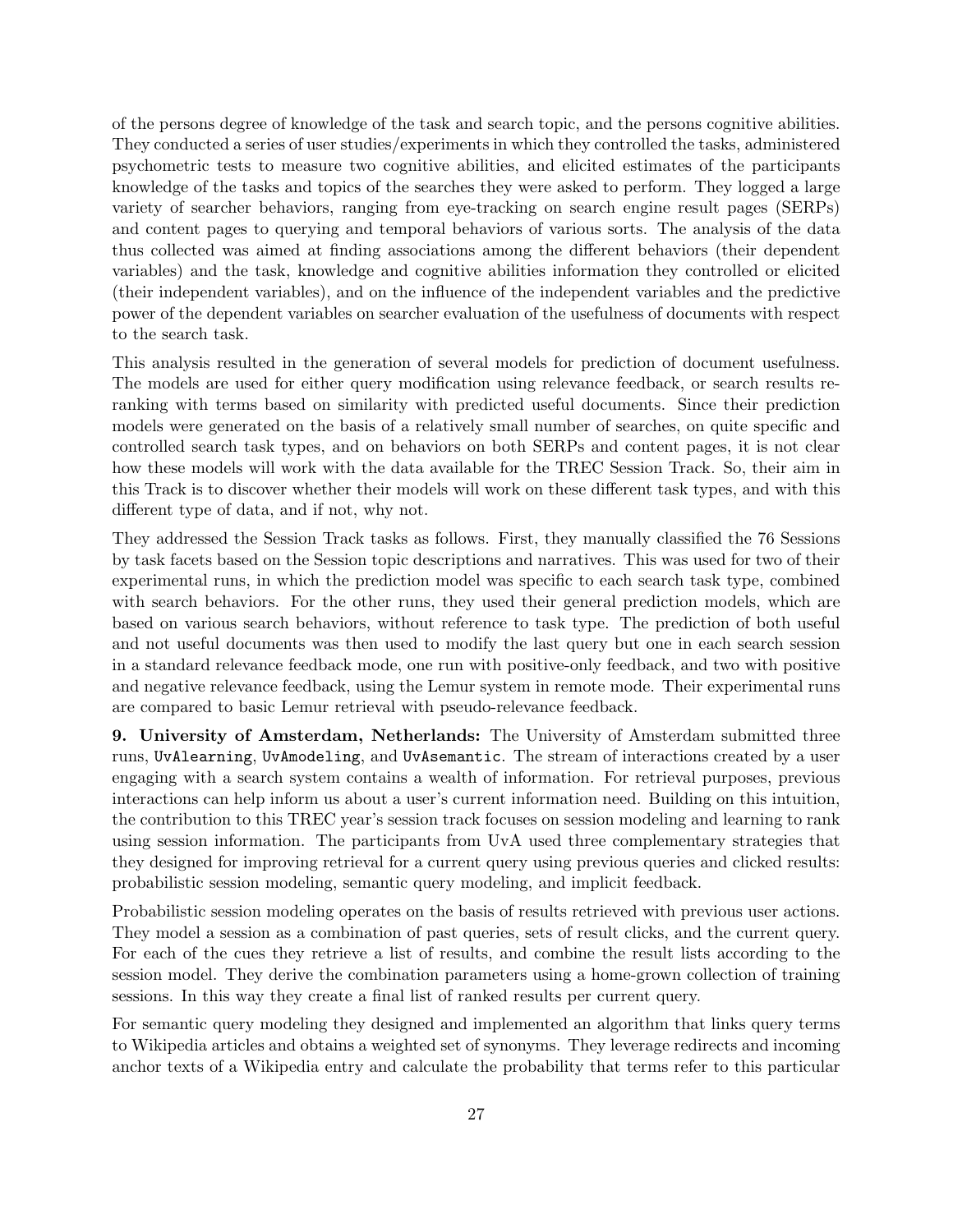of the persons degree of knowledge of the task and search topic, and the persons cognitive abilities. They conducted a series of user studies/experiments in which they controlled the tasks, administered psychometric tests to measure two cognitive abilities, and elicited estimates of the participants knowledge of the tasks and topics of the searches they were asked to perform. They logged a large variety of searcher behaviors, ranging from eye-tracking on search engine result pages (SERPs) and content pages to querying and temporal behaviors of various sorts. The analysis of the data thus collected was aimed at finding associations among the different behaviors (their dependent variables) and the task, knowledge and cognitive abilities information they controlled or elicited (their independent variables), and on the influence of the independent variables and the predictive power of the dependent variables on searcher evaluation of the usefulness of documents with respect to the search task.

This analysis resulted in the generation of several models for prediction of document usefulness. The models are used for either query modification using relevance feedback, or search results reranking with terms based on similarity with predicted useful documents. Since their prediction models were generated on the basis of a relatively small number of searches, on quite specific and controlled search task types, and on behaviors on both SERPs and content pages, it is not clear how these models will work with the data available for the TREC Session Track. So, their aim in this Track is to discover whether their models will work on these different task types, and with this different type of data, and if not, why not.

They addressed the Session Track tasks as follows. First, they manually classified the 76 Sessions by task facets based on the Session topic descriptions and narratives. This was used for two of their experimental runs, in which the prediction model was specific to each search task type, combined with search behaviors. For the other runs, they used their general prediction models, which are based on various search behaviors, without reference to task type. The prediction of both useful and not useful documents was then used to modify the last query but one in each search session in a standard relevance feedback mode, one run with positive-only feedback, and two with positive and negative relevance feedback, using the Lemur system in remote mode. Their experimental runs are compared to basic Lemur retrieval with pseudo-relevance feedback.

9. University of Amsterdam, Netherlands: The University of Amsterdam submitted three runs, UvAlearning, UvAmodeling, and UvAsemantic. The stream of interactions created by a user engaging with a search system contains a wealth of information. For retrieval purposes, previous interactions can help inform us about a user's current information need. Building on this intuition, the contribution to this TREC year's session track focuses on session modeling and learning to rank using session information. The participants from UvA used three complementary strategies that they designed for improving retrieval for a current query using previous queries and clicked results: probabilistic session modeling, semantic query modeling, and implicit feedback.

Probabilistic session modeling operates on the basis of results retrieved with previous user actions. They model a session as a combination of past queries, sets of result clicks, and the current query. For each of the cues they retrieve a list of results, and combine the result lists according to the session model. They derive the combination parameters using a home-grown collection of training sessions. In this way they create a final list of ranked results per current query.

For semantic query modeling they designed and implemented an algorithm that links query terms to Wikipedia articles and obtains a weighted set of synonyms. They leverage redirects and incoming anchor texts of a Wikipedia entry and calculate the probability that terms refer to this particular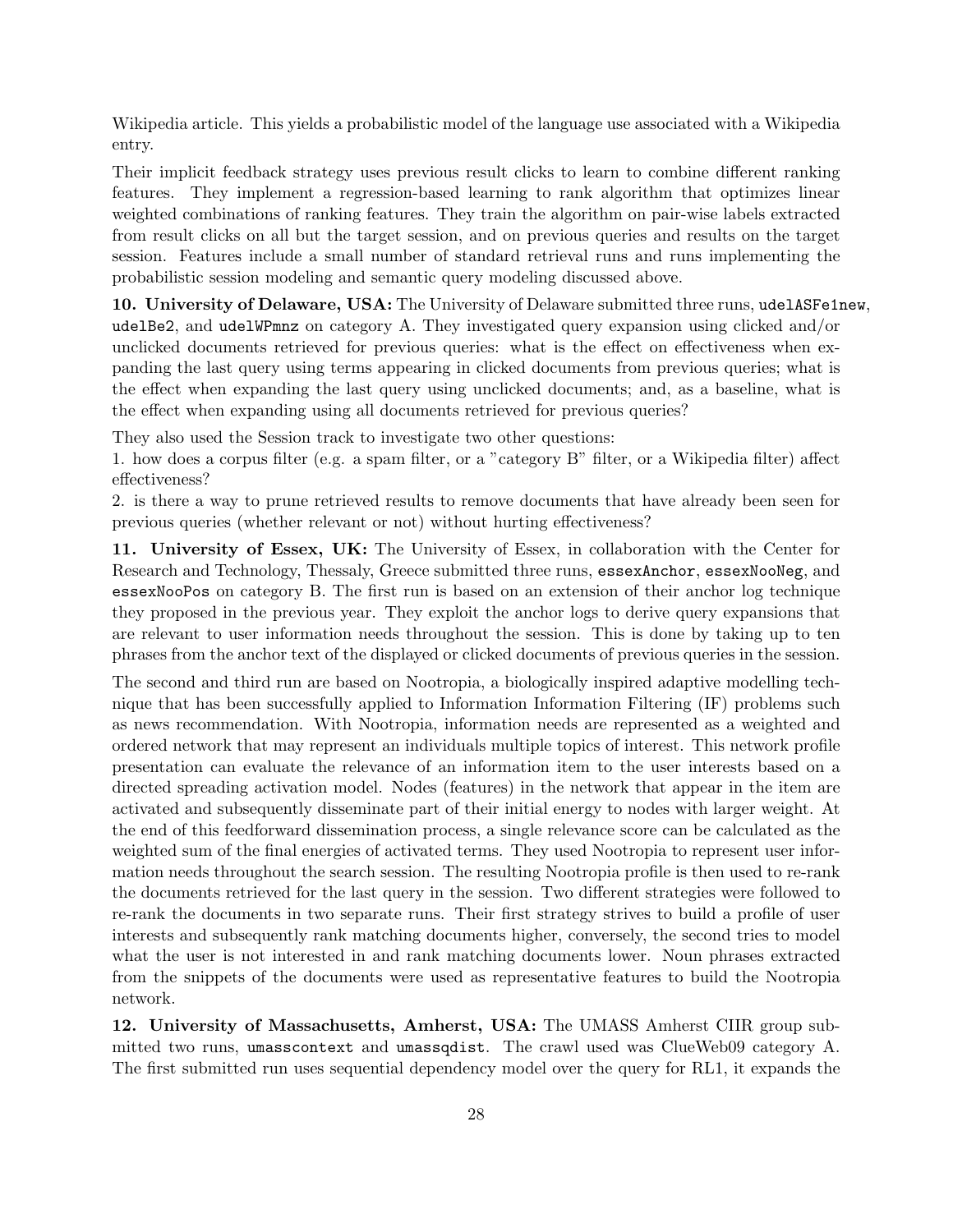Wikipedia article. This yields a probabilistic model of the language use associated with a Wikipedia entry.

Their implicit feedback strategy uses previous result clicks to learn to combine different ranking features. They implement a regression-based learning to rank algorithm that optimizes linear weighted combinations of ranking features. They train the algorithm on pair-wise labels extracted from result clicks on all but the target session, and on previous queries and results on the target session. Features include a small number of standard retrieval runs and runs implementing the probabilistic session modeling and semantic query modeling discussed above.

10. University of Delaware, USA: The University of Delaware submitted three runs, udelASFe1new, udelBe2, and udelWPmnz on category A. They investigated query expansion using clicked and/or unclicked documents retrieved for previous queries: what is the effect on effectiveness when expanding the last query using terms appearing in clicked documents from previous queries; what is the effect when expanding the last query using unclicked documents; and, as a baseline, what is the effect when expanding using all documents retrieved for previous queries?

They also used the Session track to investigate two other questions:

1. how does a corpus filter (e.g. a spam filter, or a "category B" filter, or a Wikipedia filter) affect effectiveness?

2. is there a way to prune retrieved results to remove documents that have already been seen for previous queries (whether relevant or not) without hurting effectiveness?

11. University of Essex, UK: The University of Essex, in collaboration with the Center for Research and Technology, Thessaly, Greece submitted three runs, essexAnchor, essexNooNeg, and essexNooPos on category B. The first run is based on an extension of their anchor log technique they proposed in the previous year. They exploit the anchor logs to derive query expansions that are relevant to user information needs throughout the session. This is done by taking up to ten phrases from the anchor text of the displayed or clicked documents of previous queries in the session.

The second and third run are based on Nootropia, a biologically inspired adaptive modelling technique that has been successfully applied to Information Information Filtering (IF) problems such as news recommendation. With Nootropia, information needs are represented as a weighted and ordered network that may represent an individuals multiple topics of interest. This network profile presentation can evaluate the relevance of an information item to the user interests based on a directed spreading activation model. Nodes (features) in the network that appear in the item are activated and subsequently disseminate part of their initial energy to nodes with larger weight. At the end of this feedforward dissemination process, a single relevance score can be calculated as the weighted sum of the final energies of activated terms. They used Nootropia to represent user information needs throughout the search session. The resulting Nootropia profile is then used to re-rank the documents retrieved for the last query in the session. Two different strategies were followed to re-rank the documents in two separate runs. Their first strategy strives to build a profile of user interests and subsequently rank matching documents higher, conversely, the second tries to model what the user is not interested in and rank matching documents lower. Noun phrases extracted from the snippets of the documents were used as representative features to build the Nootropia network.

12. University of Massachusetts, Amherst, USA: The UMASS Amherst CIIR group submitted two runs, umasscontext and umassqdist. The crawl used was ClueWeb09 category A. The first submitted run uses sequential dependency model over the query for RL1, it expands the